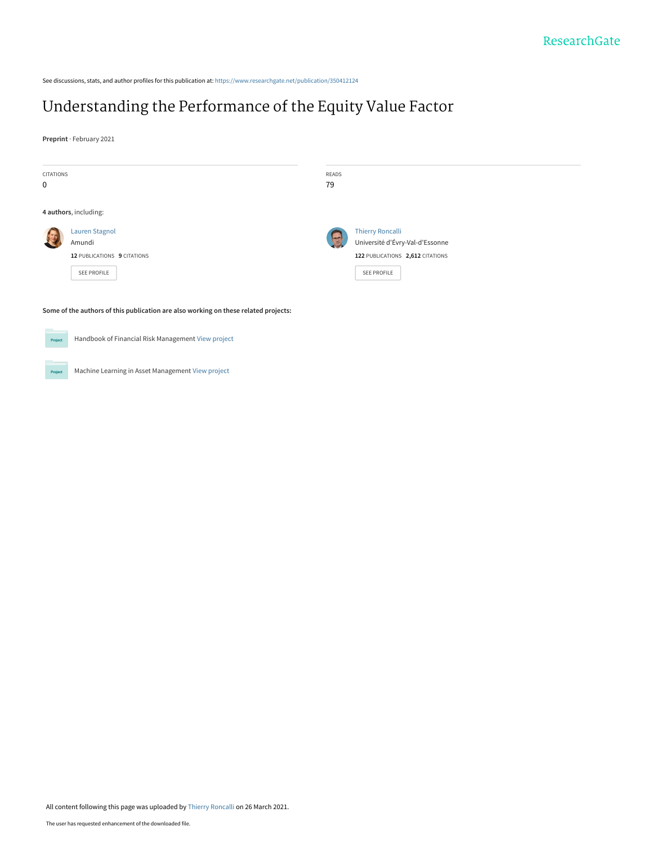See discussions, stats, and author profiles for this publication at: [https://www.researchgate.net/publication/350412124](https://www.researchgate.net/publication/350412124_Understanding_the_Performance_of_the_Equity_Value_Factor?enrichId=rgreq-1f2e724a78ec2bc455c7654c9ec02848-XXX&enrichSource=Y292ZXJQYWdlOzM1MDQxMjEyNDtBUzoxMDA1NzQxODEzMDMwOTEyQDE2MTY3OTg5NDIyMDU%3D&el=1_x_2&_esc=publicationCoverPdf)

# [Understanding the Performance of the Equity Value Factor](https://www.researchgate.net/publication/350412124_Understanding_the_Performance_of_the_Equity_Value_Factor?enrichId=rgreq-1f2e724a78ec2bc455c7654c9ec02848-XXX&enrichSource=Y292ZXJQYWdlOzM1MDQxMjEyNDtBUzoxMDA1NzQxODEzMDMwOTEyQDE2MTY3OTg5NDIyMDU%3D&el=1_x_3&_esc=publicationCoverPdf)

**Preprint** · February 2021

| CITATIONS |                                                                                     | READS                     |                                  |
|-----------|-------------------------------------------------------------------------------------|---------------------------|----------------------------------|
| 0         |                                                                                     | 79                        |                                  |
|           |                                                                                     |                           |                                  |
|           | 4 authors, including:                                                               |                           |                                  |
|           | Lauren Stagnol                                                                      |                           | <b>Thierry Roncalli</b>          |
|           | Amundi                                                                              | $\mathbb{Z}^{\mathbf{C}}$ | Université d'Évry-Val-d'Essonne  |
|           | 12 PUBLICATIONS 9 CITATIONS                                                         |                           | 122 PUBLICATIONS 2,612 CITATIONS |
|           | SEE PROFILE                                                                         |                           | <b>SEE PROFILE</b>               |
|           |                                                                                     |                           |                                  |
|           | Some of the authors of this publication are also working on these related projects: |                           |                                  |



Handbook of Financial Risk Management [View project](https://www.researchgate.net/project/Handbook-of-Financial-Risk-Management?enrichId=rgreq-1f2e724a78ec2bc455c7654c9ec02848-XXX&enrichSource=Y292ZXJQYWdlOzM1MDQxMjEyNDtBUzoxMDA1NzQxODEzMDMwOTEyQDE2MTY3OTg5NDIyMDU%3D&el=1_x_9&_esc=publicationCoverPdf)

Machine Learning in Asset Management [View project](https://www.researchgate.net/project/Machine-Learning-in-Asset-Management?enrichId=rgreq-1f2e724a78ec2bc455c7654c9ec02848-XXX&enrichSource=Y292ZXJQYWdlOzM1MDQxMjEyNDtBUzoxMDA1NzQxODEzMDMwOTEyQDE2MTY3OTg5NDIyMDU%3D&el=1_x_9&_esc=publicationCoverPdf) Project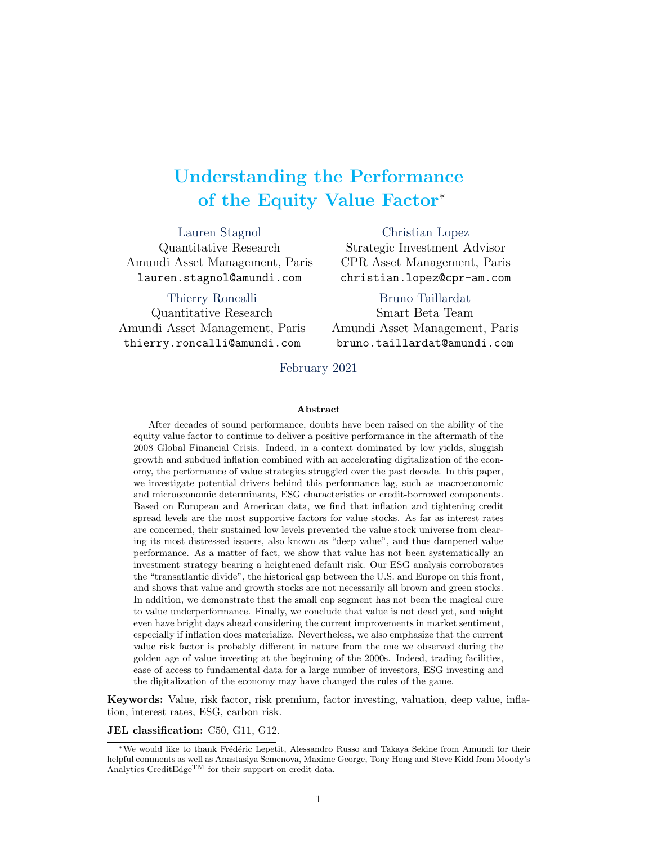# Understanding the Performance of the Equity Value Factor<sup>∗</sup>

Lauren Stagnol Quantitative Research Amundi Asset Management, Paris lauren.stagnol@amundi.com

Thierry Roncalli Quantitative Research Amundi Asset Management, Paris thierry.roncalli@amundi.com bruno.taillardat@amundi.com

christian.lopez@cpr-am.com Bruno Taillardat Smart Beta Team Amundi Asset Management, Paris

Christian Lopez Strategic Investment Advisor CPR Asset Management, Paris

February 2021

#### Abstract

After decades of sound performance, doubts have been raised on the ability of the equity value factor to continue to deliver a positive performance in the aftermath of the 2008 Global Financial Crisis. Indeed, in a context dominated by low yields, sluggish growth and subdued inflation combined with an accelerating digitalization of the economy, the performance of value strategies struggled over the past decade. In this paper, we investigate potential drivers behind this performance lag, such as macroeconomic and microeconomic determinants, ESG characteristics or credit-borrowed components. Based on European and American data, we find that inflation and tightening credit spread levels are the most supportive factors for value stocks. As far as interest rates are concerned, their sustained low levels prevented the value stock universe from clearing its most distressed issuers, also known as "deep value", and thus dampened value performance. As a matter of fact, we show that value has not been systematically an investment strategy bearing a heightened default risk. Our ESG analysis corroborates the "transatlantic divide", the historical gap between the U.S. and Europe on this front, and shows that value and growth stocks are not necessarily all brown and green stocks. In addition, we demonstrate that the small cap segment has not been the magical cure to value underperformance. Finally, we conclude that value is not dead yet, and might even have bright days ahead considering the current improvements in market sentiment, especially if inflation does materialize. Nevertheless, we also emphasize that the current value risk factor is probably different in nature from the one we observed during the golden age of value investing at the beginning of the 2000s. Indeed, trading facilities, ease of access to fundamental data for a large number of investors, ESG investing and the digitalization of the economy may have changed the rules of the game.

Keywords: Value, risk factor, risk premium, factor investing, valuation, deep value, inflation, interest rates, ESG, carbon risk.

JEL classification: C50, G11, G12.

<sup>\*</sup>We would like to thank Frédéric Lepetit, Alessandro Russo and Takaya Sekine from Amundi for their helpful comments as well as Anastasiya Semenova, Maxime George, Tony Hong and Steve Kidd from Moody's Analytics CreditEdge<sup>TM</sup> for their support on credit data.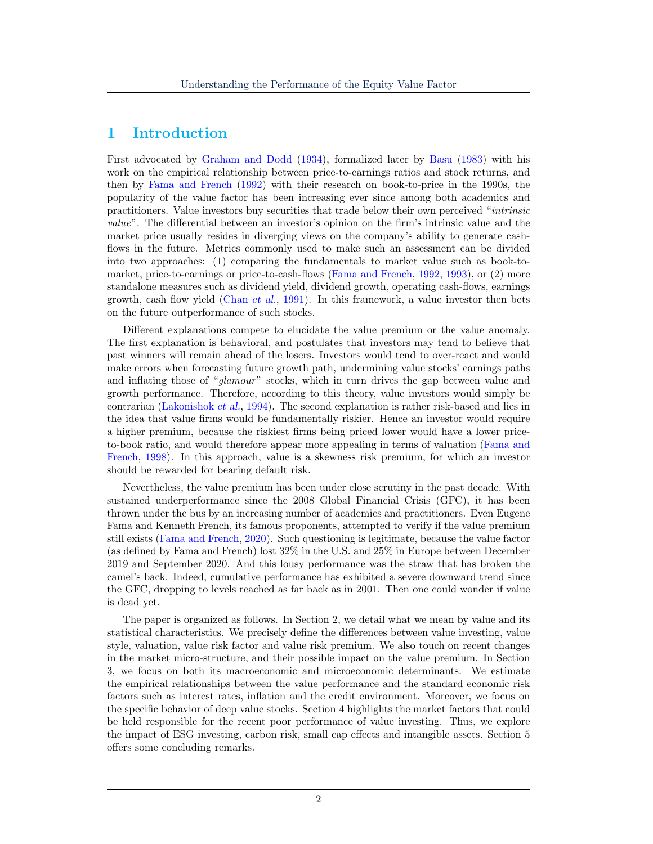## 1 Introduction

First advocated by [Graham and Dodd](#page-24-0) [\(1934\)](#page-24-0), formalized later by [Basu](#page-24-1) [\(1983\)](#page-24-1) with his work on the empirical relationship between price-to-earnings ratios and stock returns, and then by [Fama and French](#page-24-2) [\(1992\)](#page-24-2) with their research on book-to-price in the 1990s, the popularity of the value factor has been increasing ever since among both academics and practitioners. Value investors buy securities that trade below their own perceived "intrinsic value". The differential between an investor's opinion on the firm's intrinsic value and the market price usually resides in diverging views on the company's ability to generate cashflows in the future. Metrics commonly used to make such an assessment can be divided into two approaches: (1) comparing the fundamentals to market value such as book-tomarket, price-to-earnings or price-to-cash-flows [\(Fama and French,](#page-24-2) [1992,](#page-24-2) [1993\)](#page-24-3), or (2) more standalone measures such as dividend yield, dividend growth, operating cash-flows, earnings growth, cash flow yield [\(Chan](#page-24-4) et al., [1991\)](#page-24-4). In this framework, a value investor then bets on the future outperformance of such stocks.

Different explanations compete to elucidate the value premium or the value anomaly. The first explanation is behavioral, and postulates that investors may tend to believe that past winners will remain ahead of the losers. Investors would tend to over-react and would make errors when forecasting future growth path, undermining value stocks' earnings paths and inflating those of "glamour" stocks, which in turn drives the gap between value and growth performance. Therefore, according to this theory, value investors would simply be contrarian [\(Lakonishok](#page-25-0) et al., [1994\)](#page-25-0). The second explanation is rather risk-based and lies in the idea that value firms would be fundamentally riskier. Hence an investor would require a higher premium, because the riskiest firms being priced lower would have a lower priceto-book ratio, and would therefore appear more appealing in terms of valuation [\(Fama and](#page-24-5) [French,](#page-24-5) [1998\)](#page-24-5). In this approach, value is a skewness risk premium, for which an investor should be rewarded for bearing default risk.

Nevertheless, the value premium has been under close scrutiny in the past decade. With sustained underperformance since the 2008 Global Financial Crisis (GFC), it has been thrown under the bus by an increasing number of academics and practitioners. Even Eugene Fama and Kenneth French, its famous proponents, attempted to verify if the value premium still exists [\(Fama and French,](#page-24-6) [2020\)](#page-24-6). Such questioning is legitimate, because the value factor (as defined by Fama and French) lost 32% in the U.S. and 25% in Europe between December 2019 and September 2020. And this lousy performance was the straw that has broken the camel's back. Indeed, cumulative performance has exhibited a severe downward trend since the GFC, dropping to levels reached as far back as in 2001. Then one could wonder if value is dead yet.

The paper is organized as follows. In Section 2, we detail what we mean by value and its statistical characteristics. We precisely define the differences between value investing, value style, valuation, value risk factor and value risk premium. We also touch on recent changes in the market micro-structure, and their possible impact on the value premium. In Section 3, we focus on both its macroeconomic and microeconomic determinants. We estimate the empirical relationships between the value performance and the standard economic risk factors such as interest rates, inflation and the credit environment. Moreover, we focus on the specific behavior of deep value stocks. Section 4 highlights the market factors that could be held responsible for the recent poor performance of value investing. Thus, we explore the impact of ESG investing, carbon risk, small cap effects and intangible assets. Section 5 offers some concluding remarks.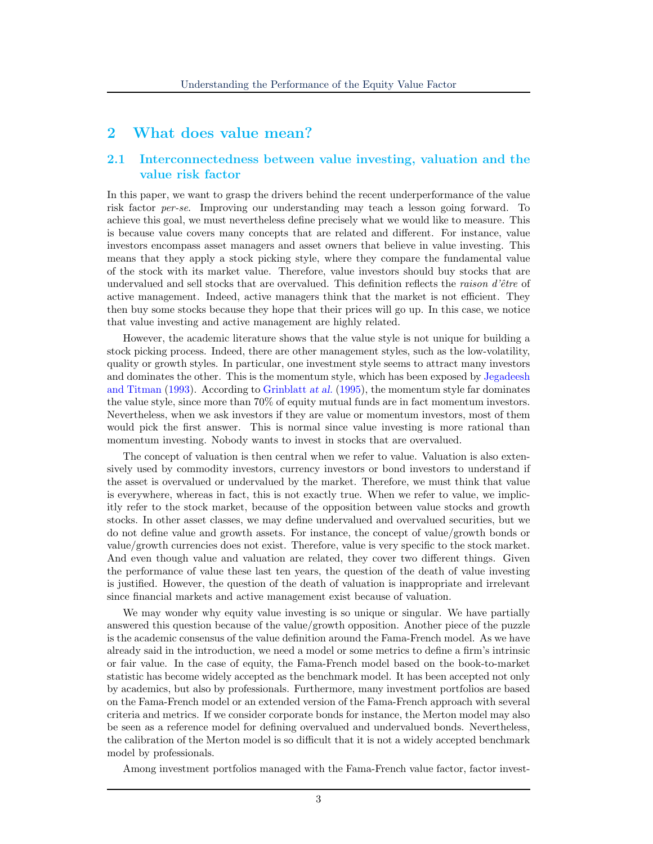### 2 What does value mean?

#### 2.1 Interconnectedness between value investing, valuation and the value risk factor

In this paper, we want to grasp the drivers behind the recent underperformance of the value risk factor per-se. Improving our understanding may teach a lesson going forward. To achieve this goal, we must nevertheless define precisely what we would like to measure. This is because value covers many concepts that are related and different. For instance, value investors encompass asset managers and asset owners that believe in value investing. This means that they apply a stock picking style, where they compare the fundamental value of the stock with its market value. Therefore, value investors should buy stocks that are undervalued and sell stocks that are overvalued. This definition reflects the *raison d'être* of active management. Indeed, active managers think that the market is not efficient. They then buy some stocks because they hope that their prices will go up. In this case, we notice that value investing and active management are highly related.

However, the academic literature shows that the value style is not unique for building a stock picking process. Indeed, there are other management styles, such as the low-volatility, quality or growth styles. In particular, one investment style seems to attract many investors and dominates the other. This is the momentum style, which has been exposed by [Jegadeesh](#page-25-1) [and Titman](#page-25-1) [\(1993\)](#page-25-1). According to [Grinblatt](#page-25-2) at al. [\(1995\)](#page-25-2), the momentum style far dominates the value style, since more than 70% of equity mutual funds are in fact momentum investors. Nevertheless, when we ask investors if they are value or momentum investors, most of them would pick the first answer. This is normal since value investing is more rational than momentum investing. Nobody wants to invest in stocks that are overvalued.

The concept of valuation is then central when we refer to value. Valuation is also extensively used by commodity investors, currency investors or bond investors to understand if the asset is overvalued or undervalued by the market. Therefore, we must think that value is everywhere, whereas in fact, this is not exactly true. When we refer to value, we implicitly refer to the stock market, because of the opposition between value stocks and growth stocks. In other asset classes, we may define undervalued and overvalued securities, but we do not define value and growth assets. For instance, the concept of value/growth bonds or value/growth currencies does not exist. Therefore, value is very specific to the stock market. And even though value and valuation are related, they cover two different things. Given the performance of value these last ten years, the question of the death of value investing is justified. However, the question of the death of valuation is inappropriate and irrelevant since financial markets and active management exist because of valuation.

We may wonder why equity value investing is so unique or singular. We have partially answered this question because of the value/growth opposition. Another piece of the puzzle is the academic consensus of the value definition around the Fama-French model. As we have already said in the introduction, we need a model or some metrics to define a firm's intrinsic or fair value. In the case of equity, the Fama-French model based on the book-to-market statistic has become widely accepted as the benchmark model. It has been accepted not only by academics, but also by professionals. Furthermore, many investment portfolios are based on the Fama-French model or an extended version of the Fama-French approach with several criteria and metrics. If we consider corporate bonds for instance, the Merton model may also be seen as a reference model for defining overvalued and undervalued bonds. Nevertheless, the calibration of the Merton model is so difficult that it is not a widely accepted benchmark model by professionals.

Among investment portfolios managed with the Fama-French value factor, factor invest-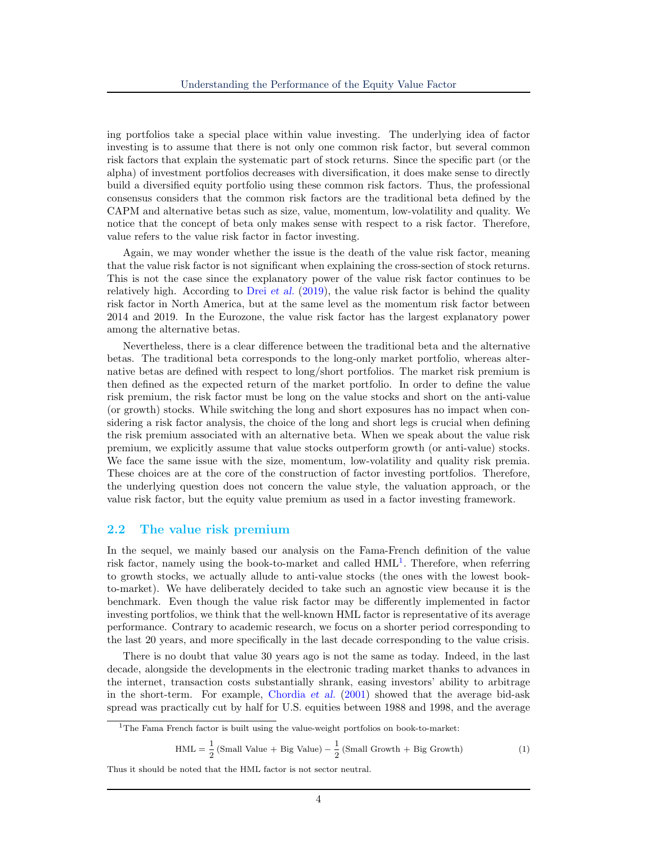ing portfolios take a special place within value investing. The underlying idea of factor investing is to assume that there is not only one common risk factor, but several common risk factors that explain the systematic part of stock returns. Since the specific part (or the alpha) of investment portfolios decreases with diversification, it does make sense to directly build a diversified equity portfolio using these common risk factors. Thus, the professional consensus considers that the common risk factors are the traditional beta defined by the CAPM and alternative betas such as size, value, momentum, low-volatility and quality. We notice that the concept of beta only makes sense with respect to a risk factor. Therefore, value refers to the value risk factor in factor investing.

Again, we may wonder whether the issue is the death of the value risk factor, meaning that the value risk factor is not significant when explaining the cross-section of stock returns. This is not the case since the explanatory power of the value risk factor continues to be relatively high. According to Drei [et al.](#page-24-7)  $(2019)$ , the value risk factor is behind the quality risk factor in North America, but at the same level as the momentum risk factor between 2014 and 2019. In the Eurozone, the value risk factor has the largest explanatory power among the alternative betas.

Nevertheless, there is a clear difference between the traditional beta and the alternative betas. The traditional beta corresponds to the long-only market portfolio, whereas alternative betas are defined with respect to long/short portfolios. The market risk premium is then defined as the expected return of the market portfolio. In order to define the value risk premium, the risk factor must be long on the value stocks and short on the anti-value (or growth) stocks. While switching the long and short exposures has no impact when considering a risk factor analysis, the choice of the long and short legs is crucial when defining the risk premium associated with an alternative beta. When we speak about the value risk premium, we explicitly assume that value stocks outperform growth (or anti-value) stocks. We face the same issue with the size, momentum, low-volatility and quality risk premia. These choices are at the core of the construction of factor investing portfolios. Therefore, the underlying question does not concern the value style, the valuation approach, or the value risk factor, but the equity value premium as used in a factor investing framework.

#### 2.2 The value risk premium

In the sequel, we mainly based our analysis on the Fama-French definition of the value risk factor, namely using the book-to-market and called  $HML<sup>1</sup>$  $HML<sup>1</sup>$  $HML<sup>1</sup>$ . Therefore, when referring to growth stocks, we actually allude to anti-value stocks (the ones with the lowest bookto-market). We have deliberately decided to take such an agnostic view because it is the benchmark. Even though the value risk factor may be differently implemented in factor investing portfolios, we think that the well-known HML factor is representative of its average performance. Contrary to academic research, we focus on a shorter period corresponding to the last 20 years, and more specifically in the last decade corresponding to the value crisis.

There is no doubt that value 30 years ago is not the same as today. Indeed, in the last decade, alongside the developments in the electronic trading market thanks to advances in the internet, transaction costs substantially shrank, easing investors' ability to arbitrage in the short-term. For example, [Chordia](#page-24-8) et al. [\(2001\)](#page-24-8) showed that the average bid-ask spread was practically cut by half for U.S. equities between 1988 and 1998, and the average

$$
HML = \frac{1}{2} (Small Value + Big Value) - \frac{1}{2} (Small Growth + Big Growth)
$$
 (1)

Thus it should be noted that the HML factor is not sector neutral.

<span id="page-4-0"></span><sup>&</sup>lt;sup>1</sup>The Fama French factor is built using the value-weight portfolios on book-to-market: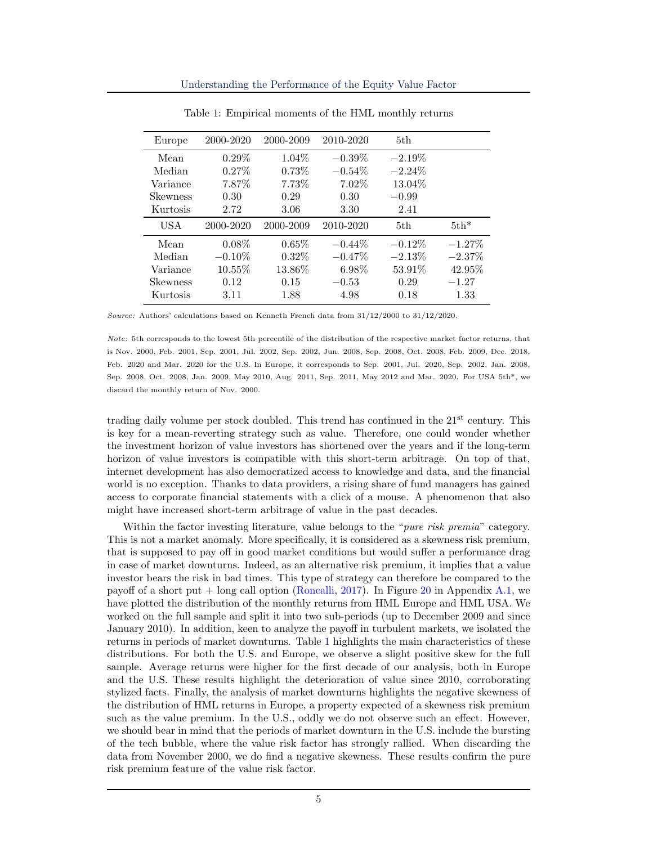<span id="page-5-0"></span>

| Europe          | 2000-2020 | 2000-2009 | 2010-2020 | 5th       |           |
|-----------------|-----------|-----------|-----------|-----------|-----------|
| Mean            | $0.29\%$  | $1.04\%$  | $-0.39\%$ | $-2.19\%$ |           |
| Median          | 0.27%     | 0.73%     | $-0.54\%$ | $-2.24\%$ |           |
| Variance        | 7.87%     | 7.73%     | 7.02%     | 13.04%    |           |
| <b>Skewness</b> | 0.30      | 0.29      | 0.30      | $-0.99$   |           |
| Kurtosis        | 2.72      | 3.06      | 3.30      | 2.41      |           |
| USA             | 2000-2020 | 2000-2009 | 2010-2020 | 5th.      | $5th*$    |
| Mean            | $0.08\%$  | 0.65%     | $-0.44\%$ | $-0.12\%$ | $-1.27%$  |
| Median          | $-0.10\%$ | $0.32\%$  | $-0.47\%$ | $-2.13\%$ | $-2.37\%$ |
| Variance        | 10.55%    | 13.86%    | 6.98%     | 53.91%    | 42.95%    |
| <b>Skewness</b> | 0.12      | 0.15      | $-0.53$   | 0.29      | $-1.27$   |
| Kurtosis        | 3.11      | 1.88      | 4.98      | 0.18      | 1.33      |

Table 1: Empirical moments of the HML monthly returns

Source: Authors' calculations based on Kenneth French data from 31/12/2000 to 31/12/2020.

Note: 5th corresponds to the lowest 5th percentile of the distribution of the respective market factor returns, that is Nov. 2000, Feb. 2001, Sep. 2001, Jul. 2002, Sep. 2002, Jun. 2008, Sep. 2008, Oct. 2008, Feb. 2009, Dec. 2018, Feb. 2020 and Mar. 2020 for the U.S. In Europe, it corresponds to Sep. 2001, Jul. 2020, Sep. 2002, Jan. 2008, Sep. 2008, Oct. 2008, Jan. 2009, May 2010, Aug. 2011, Sep. 2011, May 2012 and Mar. 2020. For USA 5th\*, we discard the monthly return of Nov. 2000.

trading daily volume per stock doubled. This trend has continued in the 21<sup>st</sup> century. This is key for a mean-reverting strategy such as value. Therefore, one could wonder whether the investment horizon of value investors has shortened over the years and if the long-term horizon of value investors is compatible with this short-term arbitrage. On top of that, internet development has also democratized access to knowledge and data, and the financial world is no exception. Thanks to data providers, a rising share of fund managers has gained access to corporate financial statements with a click of a mouse. A phenomenon that also might have increased short-term arbitrage of value in the past decades.

Within the factor investing literature, value belongs to the "pure risk premia" category. This is not a market anomaly. More specifically, it is considered as a skewness risk premium, that is supposed to pay off in good market conditions but would suffer a performance drag in case of market downturns. Indeed, as an alternative risk premium, it implies that a value investor bears the risk in bad times. This type of strategy can therefore be compared to the payoff of a short put + long call option [\(Roncalli,](#page-25-3) [2017\)](#page-25-3). In Figure [20](#page-26-0) in Appendix [A.1,](#page-26-1) we have plotted the distribution of the monthly returns from HML Europe and HML USA. We worked on the full sample and split it into two sub-periods (up to December 2009 and since January 2010). In addition, keen to analyze the payoff in turbulent markets, we isolated the returns in periods of market downturns. Table [1](#page-5-0) highlights the main characteristics of these distributions. For both the U.S. and Europe, we observe a slight positive skew for the full sample. Average returns were higher for the first decade of our analysis, both in Europe and the U.S. These results highlight the deterioration of value since 2010, corroborating stylized facts. Finally, the analysis of market downturns highlights the negative skewness of the distribution of HML returns in Europe, a property expected of a skewness risk premium such as the value premium. In the U.S., oddly we do not observe such an effect. However, we should bear in mind that the periods of market downturn in the U.S. include the bursting of the tech bubble, where the value risk factor has strongly rallied. When discarding the data from November 2000, we do find a negative skewness. These results confirm the pure risk premium feature of the value risk factor.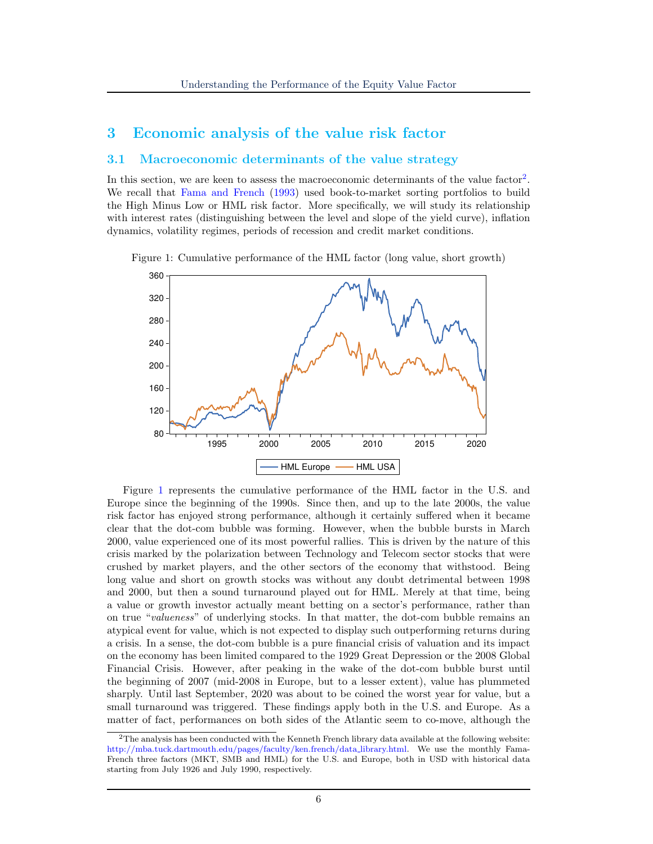### 3 Economic analysis of the value risk factor

#### 3.1 Macroeconomic determinants of the value strategy

In this section, we are keen to assess the macroeconomic determinants of the value factor<sup>[2](#page-6-0)</sup>. We recall that [Fama and French](#page-24-3) [\(1993\)](#page-24-3) used book-to-market sorting portfolios to build the High Minus Low or HML risk factor. More specifically, we will study its relationship with interest rates (distinguishing between the level and slope of the yield curve), inflation dynamics, volatility regimes, periods of recession and credit market conditions.

<span id="page-6-1"></span>Figure 1: Cumulative performance of the HML factor (long value, short growth)



Figure [1](#page-6-1) represents the cumulative performance of the HML factor in the U.S. and Europe since the beginning of the 1990s. Since then, and up to the late 2000s, the value risk factor has enjoyed strong performance, although it certainly suffered when it became clear that the dot-com bubble was forming. However, when the bubble bursts in March 2000, value experienced one of its most powerful rallies. This is driven by the nature of this crisis marked by the polarization between Technology and Telecom sector stocks that were crushed by market players, and the other sectors of the economy that withstood. Being long value and short on growth stocks was without any doubt detrimental between 1998 and 2000, but then a sound turnaround played out for HML. Merely at that time, being a value or growth investor actually meant betting on a sector's performance, rather than on true "valueness" of underlying stocks. In that matter, the dot-com bubble remains an atypical event for value, which is not expected to display such outperforming returns during a crisis. In a sense, the dot-com bubble is a pure financial crisis of valuation and its impact on the economy has been limited compared to the 1929 Great Depression or the 2008 Global Financial Crisis. However, after peaking in the wake of the dot-com bubble burst until the beginning of 2007 (mid-2008 in Europe, but to a lesser extent), value has plummeted sharply. Until last September, 2020 was about to be coined the worst year for value, but a small turnaround was triggered. These findings apply both in the U.S. and Europe. As a matter of fact, performances on both sides of the Atlantic seem to co-move, although the

<span id="page-6-0"></span> $2$ The analysis has been conducted with the Kenneth French library data available at the following website: [http://mba.tuck.dartmouth.edu/pages/faculty/ken.french/data](http://mba.tuck.dartmouth.edu/pages/faculty/ken.french/data_library.html) library.html. We use the monthly Fama-French three factors (MKT, SMB and HML) for the U.S. and Europe, both in USD with historical data starting from July 1926 and July 1990, respectively.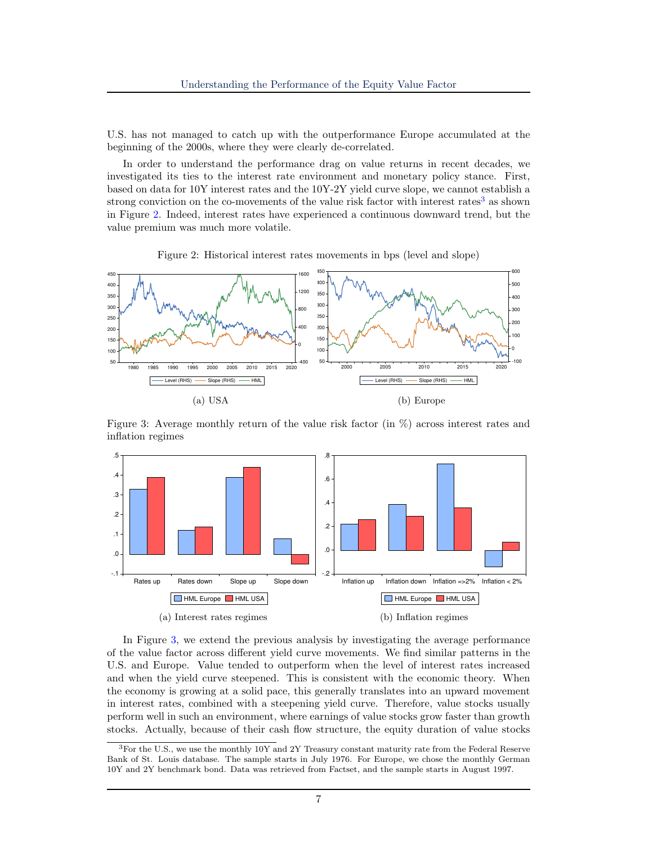U.S. has not managed to catch up with the outperformance Europe accumulated at the beginning of the 2000s, where they were clearly de-correlated.

In order to understand the performance drag on value returns in recent decades, we investigated its ties to the interest rate environment and monetary policy stance. First, based on data for 10Y interest rates and the 10Y-2Y yield curve slope, we cannot establish a strong conviction on the co-movements of the value risk factor with interest rates<sup>[3](#page-7-0)</sup> as shown in Figure [2.](#page-7-1) Indeed, interest rates have experienced a continuous downward trend, but the value premium was much more volatile.

Figure 2: Historical interest rates movements in bps (level and slope)

<span id="page-7-1"></span>

<span id="page-7-2"></span>Figure 3: Average monthly return of the value risk factor (in  $\%$ ) across interest rates and inflation regimes



In Figure [3,](#page-7-2) we extend the previous analysis by investigating the average performance of the value factor across different yield curve movements. We find similar patterns in the U.S. and Europe. Value tended to outperform when the level of interest rates increased and when the yield curve steepened. This is consistent with the economic theory. When the economy is growing at a solid pace, this generally translates into an upward movement in interest rates, combined with a steepening yield curve. Therefore, value stocks usually perform well in such an environment, where earnings of value stocks grow faster than growth stocks. Actually, because of their cash flow structure, the equity duration of value stocks

<span id="page-7-0"></span> ${}^{3}$  For the U.S., we use the monthly 10Y and 2Y Treasury constant maturity rate from the Federal Reserve Bank of St. Louis database. The sample starts in July 1976. For Europe, we chose the monthly German 10Y and 2Y benchmark bond. Data was retrieved from Factset, and the sample starts in August 1997.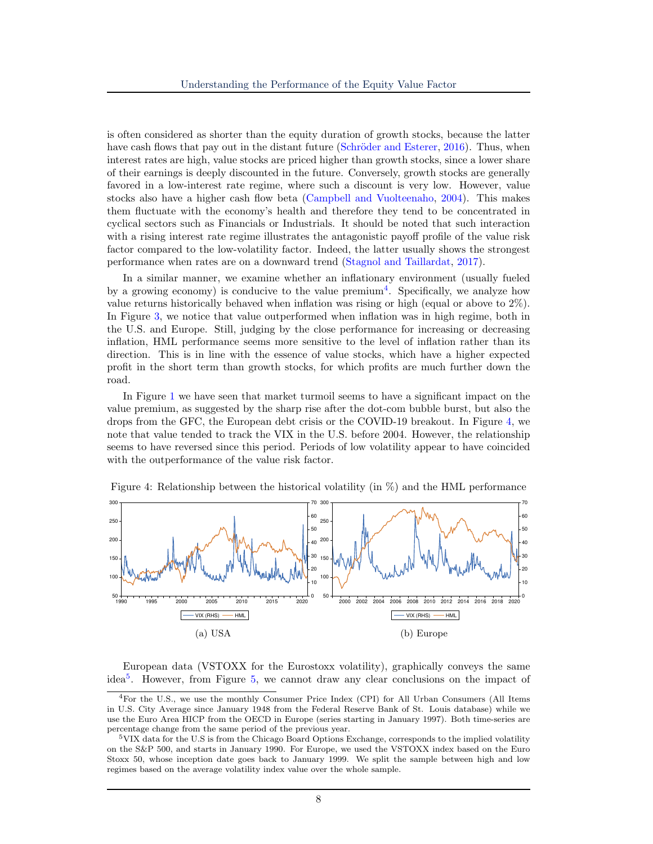is often considered as shorter than the equity duration of growth stocks, because the latter have cash flows that pay out in the distant future (Schröder and Esterer,  $2016$ ). Thus, when interest rates are high, value stocks are priced higher than growth stocks, since a lower share of their earnings is deeply discounted in the future. Conversely, growth stocks are generally favored in a low-interest rate regime, where such a discount is very low. However, value stocks also have a higher cash flow beta [\(Campbell and Vuolteenaho,](#page-24-9) [2004\)](#page-24-9). This makes them fluctuate with the economy's health and therefore they tend to be concentrated in cyclical sectors such as Financials or Industrials. It should be noted that such interaction with a rising interest rate regime illustrates the antagonistic payoff profile of the value risk factor compared to the low-volatility factor. Indeed, the latter usually shows the strongest performance when rates are on a downward trend [\(Stagnol and Taillardat,](#page-25-5) [2017\)](#page-25-5).

In a similar manner, we examine whether an inflationary environment (usually fueled by a growing economy) is conducive to the value  $\text{premium}^4$  $\text{premium}^4$ . Specifically, we analyze how value returns historically behaved when inflation was rising or high (equal or above to 2%). In Figure [3,](#page-7-2) we notice that value outperformed when inflation was in high regime, both in the U.S. and Europe. Still, judging by the close performance for increasing or decreasing inflation, HML performance seems more sensitive to the level of inflation rather than its direction. This is in line with the essence of value stocks, which have a higher expected profit in the short term than growth stocks, for which profits are much further down the road.

In Figure [1](#page-6-1) we have seen that market turmoil seems to have a significant impact on the value premium, as suggested by the sharp rise after the dot-com bubble burst, but also the drops from the GFC, the European debt crisis or the COVID-19 breakout. In Figure [4,](#page-8-1) we note that value tended to track the VIX in the U.S. before 2004. However, the relationship seems to have reversed since this period. Periods of low volatility appear to have coincided with the outperformance of the value risk factor.



<span id="page-8-1"></span>Figure 4: Relationship between the historical volatility (in  $\%$ ) and the HML performance

European data (VSTOXX for the Eurostoxx volatility), graphically conveys the same idea[5](#page-8-2) . However, from Figure [5,](#page-9-0) we cannot draw any clear conclusions on the impact of

<span id="page-8-0"></span><sup>4</sup>For the U.S., we use the monthly Consumer Price Index (CPI) for All Urban Consumers (All Items in U.S. City Average since January 1948 from the Federal Reserve Bank of St. Louis database) while we use the Euro Area HICP from the OECD in Europe (series starting in January 1997). Both time-series are percentage change from the same period of the previous year.

<span id="page-8-2"></span><sup>5</sup>VIX data for the U.S is from the Chicago Board Options Exchange, corresponds to the implied volatility on the S&P 500, and starts in January 1990. For Europe, we used the VSTOXX index based on the Euro Stoxx 50, whose inception date goes back to January 1999. We split the sample between high and low regimes based on the average volatility index value over the whole sample.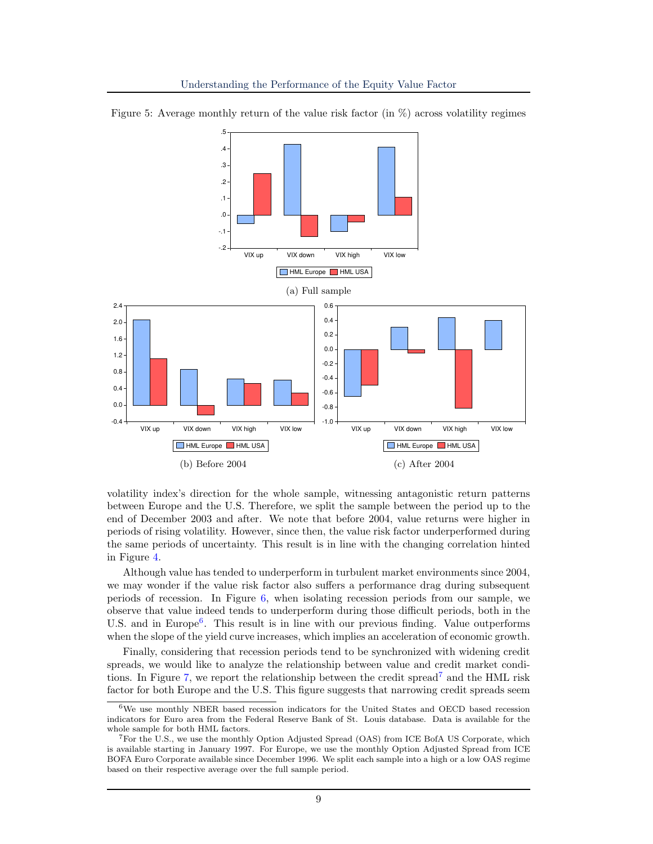<span id="page-9-0"></span>



volatility index's direction for the whole sample, witnessing antagonistic return patterns between Europe and the U.S. Therefore, we split the sample between the period up to the end of December 2003 and after. We note that before 2004, value returns were higher in periods of rising volatility. However, since then, the value risk factor underperformed during the same periods of uncertainty. This result is in line with the changing correlation hinted in Figure [4.](#page-8-1)

Although value has tended to underperform in turbulent market environments since 2004, we may wonder if the value risk factor also suffers a performance drag during subsequent periods of recession. In Figure [6,](#page-10-0) when isolating recession periods from our sample, we observe that value indeed tends to underperform during those difficult periods, both in the U.S. and in Europe<sup>[6](#page-9-1)</sup>. This result is in line with our previous finding. Value outperforms when the slope of the yield curve increases, which implies an acceleration of economic growth.

Finally, considering that recession periods tend to be synchronized with widening credit spreads, we would like to analyze the relationship between value and credit market condi-tions. In Figure [7,](#page-10-1) we report the relationship between the credit spread<sup> $\ell$ </sup> and the HML risk factor for both Europe and the U.S. This figure suggests that narrowing credit spreads seem

<span id="page-9-1"></span><sup>6</sup>We use monthly NBER based recession indicators for the United States and OECD based recession indicators for Euro area from the Federal Reserve Bank of St. Louis database. Data is available for the whole sample for both HML factors.

<span id="page-9-2"></span><sup>7</sup>For the U.S., we use the monthly Option Adjusted Spread (OAS) from ICE BofA US Corporate, which is available starting in January 1997. For Europe, we use the monthly Option Adjusted Spread from ICE BOFA Euro Corporate available since December 1996. We split each sample into a high or a low OAS regime based on their respective average over the full sample period.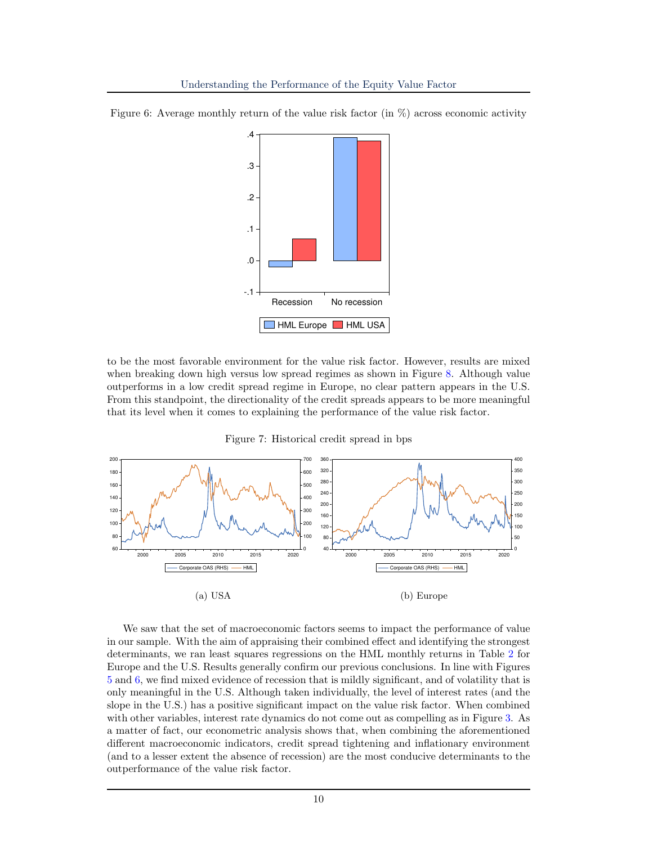

<span id="page-10-0"></span>Figure 6: Average monthly return of the value risk factor (in  $\%$ ) across economic activity

to be the most favorable environment for the value risk factor. However, results are mixed when breaking down high versus low spread regimes as shown in Figure [8.](#page-11-0) Although value outperforms in a low credit spread regime in Europe, no clear pattern appears in the U.S. From this standpoint, the directionality of the credit spreads appears to be more meaningful that its level when it comes to explaining the performance of the value risk factor.

Figure 7: Historical credit spread in bps

<span id="page-10-1"></span>

We saw that the set of macroeconomic factors seems to impact the performance of value in our sample. With the aim of appraising their combined effect and identifying the strongest determinants, we ran least squares regressions on the HML monthly returns in Table [2](#page-11-1) for Europe and the U.S. Results generally confirm our previous conclusions. In line with Figures [5](#page-9-0) and [6,](#page-10-0) we find mixed evidence of recession that is mildly significant, and of volatility that is only meaningful in the U.S. Although taken individually, the level of interest rates (and the slope in the U.S.) has a positive significant impact on the value risk factor. When combined with other variables, interest rate dynamics do not come out as compelling as in Figure [3.](#page-7-2) As a matter of fact, our econometric analysis shows that, when combining the aforementioned different macroeconomic indicators, credit spread tightening and inflationary environment (and to a lesser extent the absence of recession) are the most conducive determinants to the outperformance of the value risk factor.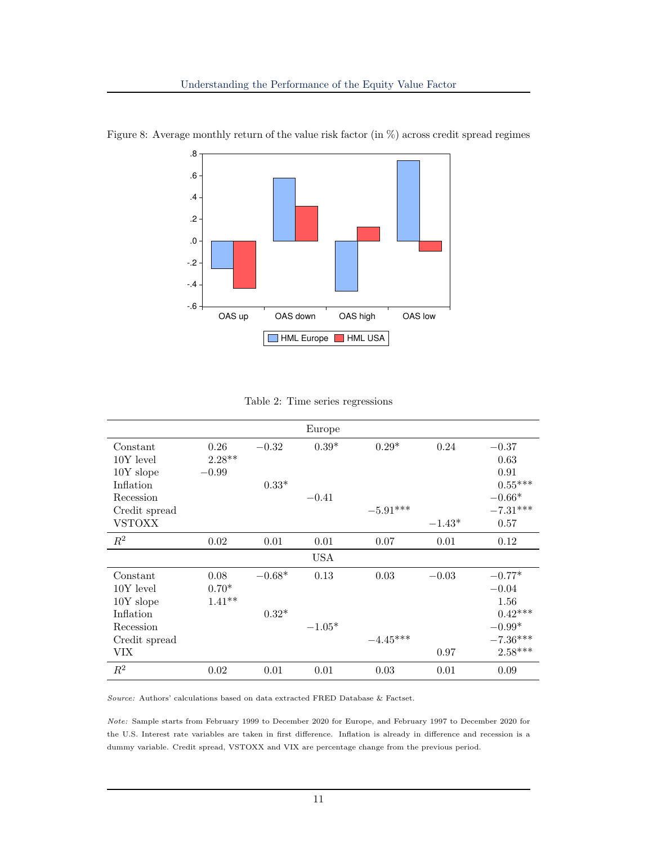

<span id="page-11-0"></span>Figure 8: Average monthly return of the value risk factor (in  $\%$ ) across credit spread regimes

|  | Table 2: Time series regressions |
|--|----------------------------------|

<span id="page-11-1"></span>

|                |          |          | Europe     |            |          |            |
|----------------|----------|----------|------------|------------|----------|------------|
| Constant       | 0.26     | $-0.32$  | $0.39*$    | $0.29*$    | 0.24     | $-0.37$    |
| $10Y$ level    | $2.28**$ |          |            |            |          | 0.63       |
| $10Y$ slope    | $-0.99$  |          |            |            |          | 0.91       |
| Inflation      |          | $0.33*$  |            |            |          | $0.55***$  |
| Recession      |          |          | $-0.41$    |            |          | $-0.66*$   |
| Credit spread  |          |          |            | $-5.91***$ |          | $-7.31***$ |
| <b>VSTOXX</b>  |          |          |            |            | $-1.43*$ | 0.57       |
| $\mathbb{R}^2$ | 0.02     | 0.01     | 0.01       | 0.07       | 0.01     | 0.12       |
|                |          |          | <b>USA</b> |            |          |            |
| Constant       | 0.08     | $-0.68*$ | 0.13       | 0.03       | $-0.03$  | $-0.77*$   |
| $10Y$ level    | $0.70*$  |          |            |            |          | $-0.04$    |
| $10Y$ slope    | $1.41**$ |          |            |            |          | 1.56       |
| Inflation      |          | $0.32*$  |            |            |          | $0.42***$  |
| Recession      |          |          | $-1.05*$   |            |          | $-0.99*$   |
| Credit spread  |          |          |            | $-4.45***$ |          | $-7.36***$ |
| VIX            |          |          |            |            | 0.97     | $2.58***$  |
| $R^2$          | 0.02     | 0.01     | 0.01       | 0.03       | 0.01     | 0.09       |

Source: Authors' calculations based on data extracted FRED Database & Factset.

Note: Sample starts from February 1999 to December 2020 for Europe, and February 1997 to December 2020 for the U.S. Interest rate variables are taken in first difference. Inflation is already in difference and recession is a dummy variable. Credit spread, VSTOXX and VIX are percentage change from the previous period.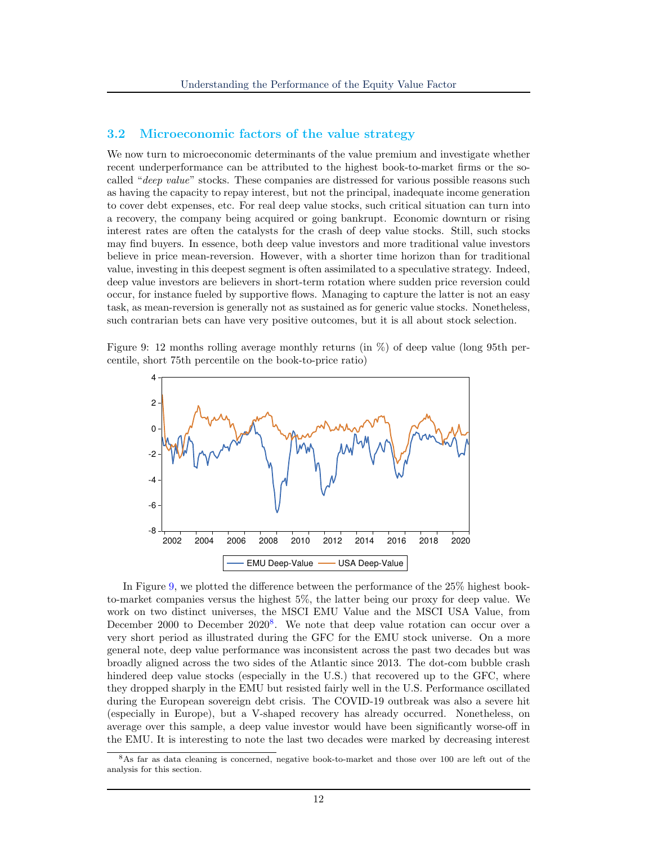#### 3.2 Microeconomic factors of the value strategy

We now turn to microeconomic determinants of the value premium and investigate whether recent underperformance can be attributed to the highest book-to-market firms or the socalled "*deep value*" stocks. These companies are distressed for various possible reasons such as having the capacity to repay interest, but not the principal, inadequate income generation to cover debt expenses, etc. For real deep value stocks, such critical situation can turn into a recovery, the company being acquired or going bankrupt. Economic downturn or rising interest rates are often the catalysts for the crash of deep value stocks. Still, such stocks may find buyers. In essence, both deep value investors and more traditional value investors believe in price mean-reversion. However, with a shorter time horizon than for traditional value, investing in this deepest segment is often assimilated to a speculative strategy. Indeed, deep value investors are believers in short-term rotation where sudden price reversion could occur, for instance fueled by supportive flows. Managing to capture the latter is not an easy task, as mean-reversion is generally not as sustained as for generic value stocks. Nonetheless, such contrarian bets can have very positive outcomes, but it is all about stock selection.

<span id="page-12-0"></span>Figure 9: 12 months rolling average monthly returns (in  $\%$ ) of deep value (long 95th percentile, short 75th percentile on the book-to-price ratio)



In Figure [9,](#page-12-0) we plotted the difference between the performance of the 25% highest bookto-market companies versus the highest 5%, the latter being our proxy for deep value. We work on two distinct universes, the MSCI EMU Value and the MSCI USA Value, from December 2000 to December 2020<sup>[8](#page-12-1)</sup>. We note that deep value rotation can occur over a very short period as illustrated during the GFC for the EMU stock universe. On a more general note, deep value performance was inconsistent across the past two decades but was broadly aligned across the two sides of the Atlantic since 2013. The dot-com bubble crash hindered deep value stocks (especially in the U.S.) that recovered up to the GFC, where they dropped sharply in the EMU but resisted fairly well in the U.S. Performance oscillated during the European sovereign debt crisis. The COVID-19 outbreak was also a severe hit (especially in Europe), but a V-shaped recovery has already occurred. Nonetheless, on average over this sample, a deep value investor would have been significantly worse-off in the EMU. It is interesting to note the last two decades were marked by decreasing interest

<span id="page-12-1"></span><sup>8</sup>As far as data cleaning is concerned, negative book-to-market and those over 100 are left out of the analysis for this section.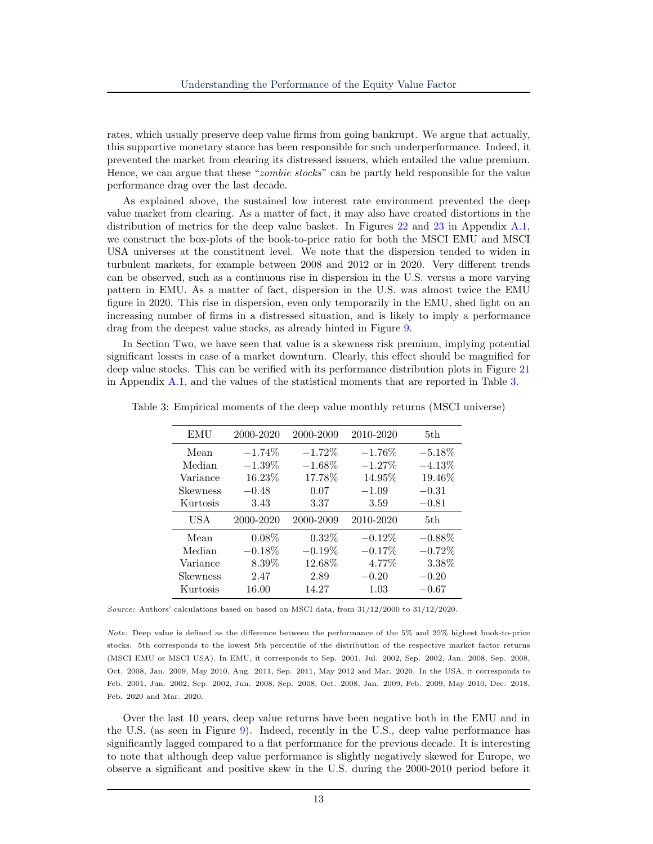rates, which usually preserve deep value firms from going bankrupt. We argue that actually, this supportive monetary stance has been responsible for such underperformance. Indeed, it prevented the market from clearing its distressed issuers, which entailed the value premium. Hence, we can argue that these "*zombie stocks*" can be partly held responsible for the value performance drag over the last decade.

As explained above, the sustained low interest rate environment prevented the deep value market from clearing. As a matter of fact, it may also have created distortions in the distribution of metrics for the deep value basket. In Figures [22](#page-28-0) and [23](#page-28-1) in Appendix [A.1,](#page-26-1) we construct the box-plots of the book-to-price ratio for both the MSCI EMU and MSCI USA universes at the constituent level. We note that the dispersion tended to widen in turbulent markets, for example between 2008 and 2012 or in 2020. Very different trends can be observed, such as a continuous rise in dispersion in the U.S. versus a more varying pattern in EMU. As a matter of fact, dispersion in the U.S. was almost twice the EMU figure in 2020. This rise in dispersion, even only temporarily in the EMU, shed light on an increasing number of firms in a distressed situation, and is likely to imply a performance drag from the deepest value stocks, as already hinted in Figure [9.](#page-12-0)

In Section Two, we have seen that value is a skewness risk premium, implying potential significant losses in case of a market downturn. Clearly, this effect should be magnified for deep value stocks. This can be verified with its performance distribution plots in Figure [21](#page-27-0) in Appendix [A.1,](#page-26-1) and the values of the statistical moments that are reported in Table [3.](#page-13-0)

| EMU             | 2000-2020 | 2000-2009 | 2010-2020 | 5th.      |
|-----------------|-----------|-----------|-----------|-----------|
| Mean            | $-1.74\%$ | $-1.72%$  | $-1.76\%$ | $-5.18%$  |
| Median          | $-1.39\%$ | $-1.68\%$ | $-1.27\%$ | $-4.13%$  |
| Variance        | 16.23%    | 17.78%    | 14.95%    | 19.46%    |
| <b>Skewness</b> | $-0.48$   | 0.07      | $-1.09$   | $-0.31$   |
| Kurtosis        | 3.43      | 3.37      | 3.59      | $-0.81$   |
|                 |           |           |           |           |
| USA             | 2000-2020 | 2000-2009 | 2010-2020 | 5th.      |
| Mean            | $0.08\%$  | $0.32\%$  | $-0.12\%$ | $-0.88\%$ |
| Median          | $-0.18\%$ | $-0.19\%$ | $-0.17%$  | $-0.72\%$ |
| Variance        | 8.39\%    | 12.68%    | 4.77%     | 3.38\%    |
| <b>Skewness</b> | 2.47      | 2.89      | $-0.20$   | $-0.20$   |

<span id="page-13-0"></span>Table 3: Empirical moments of the deep value monthly returns (MSCI universe)

Source: Authors' calculations based on based on MSCI data, from 31/12/2000 to 31/12/2020.

Note: Deep value is defined as the difference between the performance of the 5% and 25% highest book-to-price stocks. 5th corresponds to the lowest 5th percentile of the distribution of the respective market factor returns (MSCI EMU or MSCI USA). In EMU, it corresponds to Sep. 2001, Jul. 2002, Sep. 2002, Jan. 2008, Sep. 2008, Oct. 2008, Jan. 2009, May 2010, Aug. 2011, Sep. 2011, May 2012 and Mar. 2020. In the USA, it corresponds to Feb. 2001, Jun. 2002, Sep. 2002, Jun. 2008, Sep. 2008, Oct. 2008, Jan. 2009, Feb. 2009, May 2010, Dec. 2018, Feb. 2020 and Mar. 2020.

Over the last 10 years, deep value returns have been negative both in the EMU and in the U.S. (as seen in Figure [9\)](#page-12-0). Indeed, recently in the U.S., deep value performance has significantly lagged compared to a flat performance for the previous decade. It is interesting to note that although deep value performance is slightly negatively skewed for Europe, we observe a significant and positive skew in the U.S. during the 2000-2010 period before it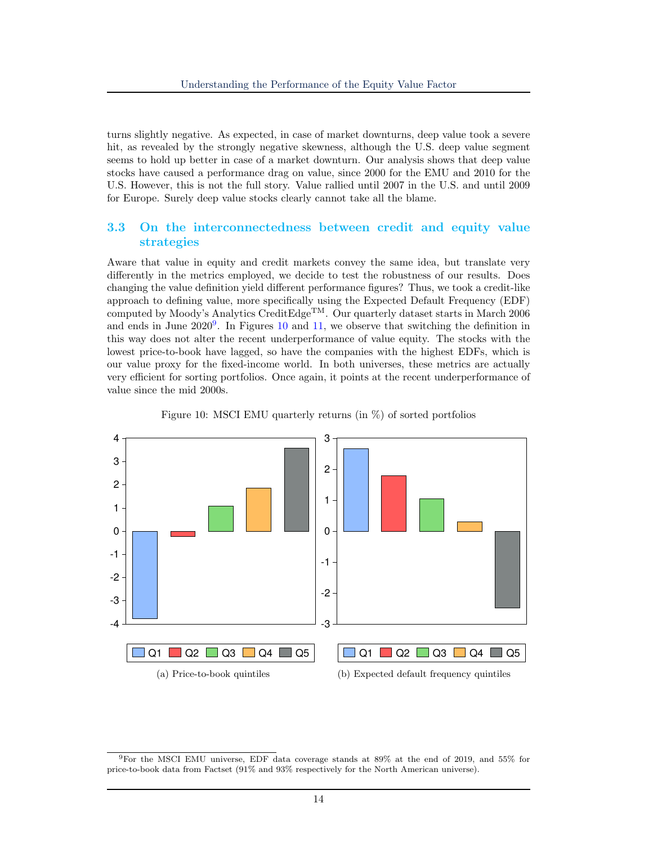turns slightly negative. As expected, in case of market downturns, deep value took a severe hit, as revealed by the strongly negative skewness, although the U.S. deep value segment seems to hold up better in case of a market downturn. Our analysis shows that deep value stocks have caused a performance drag on value, since 2000 for the EMU and 2010 for the U.S. However, this is not the full story. Value rallied until 2007 in the U.S. and until 2009 for Europe. Surely deep value stocks clearly cannot take all the blame.

#### 3.3 On the interconnectedness between credit and equity value strategies

Aware that value in equity and credit markets convey the same idea, but translate very differently in the metrics employed, we decide to test the robustness of our results. Does changing the value definition yield different performance figures? Thus, we took a credit-like approach to defining value, more specifically using the Expected Default Frequency (EDF) computed by Moody's Analytics CreditEdge<sup>TM</sup>. Our quarterly dataset starts in March 2006 and ends in June  $2020^9$  $2020^9$ . In Figures [10](#page-14-1) and [11,](#page-15-0) we observe that switching the definition in this way does not alter the recent underperformance of value equity. The stocks with the lowest price-to-book have lagged, so have the companies with the highest EDFs, which is our value proxy for the fixed-income world. In both universes, these metrics are actually very efficient for sorting portfolios. Once again, it points at the recent underperformance of value since the mid 2000s.

<span id="page-14-1"></span>



<span id="page-14-0"></span><sup>9</sup>For the MSCI EMU universe, EDF data coverage stands at 89% at the end of 2019, and 55% for price-to-book data from Factset (91% and 93% respectively for the North American universe).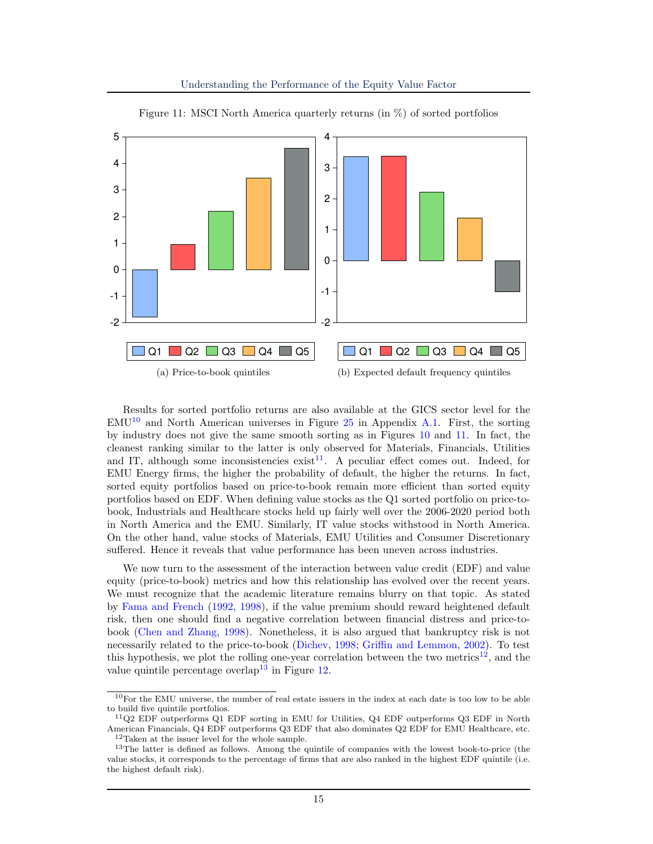Understanding the Performance of the Equity Value Factor

<span id="page-15-0"></span>

Figure 11: MSCI North America quarterly returns (in %) of sorted portfolios

Results for sorted portfolio returns are also available at the GICS sector level for the  $EMU<sup>10</sup>$  $EMU<sup>10</sup>$  $EMU<sup>10</sup>$  and North American universes in Figure [25](#page-29-0) in Appendix [A.1.](#page-26-1) First, the sorting by industry does not give the same smooth sorting as in Figures [10](#page-14-1) and [11.](#page-15-0) In fact, the cleanest ranking similar to the latter is only observed for Materials, Financials, Utilities and IT, although some inconsistencies  $\text{exist}^{11}$  $\text{exist}^{11}$  $\text{exist}^{11}$ . A peculiar effect comes out. Indeed, for EMU Energy firms, the higher the probability of default, the higher the returns. In fact, sorted equity portfolios based on price-to-book remain more efficient than sorted equity portfolios based on EDF. When defining value stocks as the Q1 sorted portfolio on price-tobook, Industrials and Healthcare stocks held up fairly well over the 2006-2020 period both in North America and the EMU. Similarly, IT value stocks withstood in North America. On the other hand, value stocks of Materials, EMU Utilities and Consumer Discretionary suffered. Hence it reveals that value performance has been uneven across industries.

We now turn to the assessment of the interaction between value credit (EDF) and value equity (price-to-book) metrics and how this relationship has evolved over the recent years. We must recognize that the academic literature remains blurry on that topic. As stated by [Fama and French](#page-24-2) [\(1992,](#page-24-2) [1998\)](#page-24-5), if the value premium should reward heightened default risk, then one should find a negative correlation between financial distress and price-tobook [\(Chen and Zhang,](#page-24-10) [1998\)](#page-24-10). Nonetheless, it is also argued that bankruptcy risk is not necessarily related to the price-to-book [\(Dichev,](#page-24-11) [1998;](#page-24-11) [Griffin and Lemmon,](#page-25-6) [2002\)](#page-25-6). To test this hypothesis, we plot the rolling one-year correlation between the two metrics<sup>[12](#page-15-3)</sup>, and the value quintile percentage overlap<sup>[13](#page-15-4)</sup> in Figure [12.](#page-16-0)

<span id="page-15-1"></span><sup>&</sup>lt;sup>10</sup>For the EMU universe, the number of real estate issuers in the index at each date is too low to be able to build five quintile portfolios.

<span id="page-15-2"></span><sup>11</sup>Q2 EDF outperforms Q1 EDF sorting in EMU for Utilities, Q4 EDF outperforms Q3 EDF in North American Financials, Q4 EDF outperforms Q3 EDF that also dominates Q2 EDF for EMU Healthcare, etc. <sup>12</sup>Taken at the issuer level for the whole sample.

<span id="page-15-4"></span><span id="page-15-3"></span><sup>&</sup>lt;sup>13</sup>The latter is defined as follows. Among the quintile of companies with the lowest book-to-price (the value stocks, it corresponds to the percentage of firms that are also ranked in the highest EDF quintile (i.e. the highest default risk).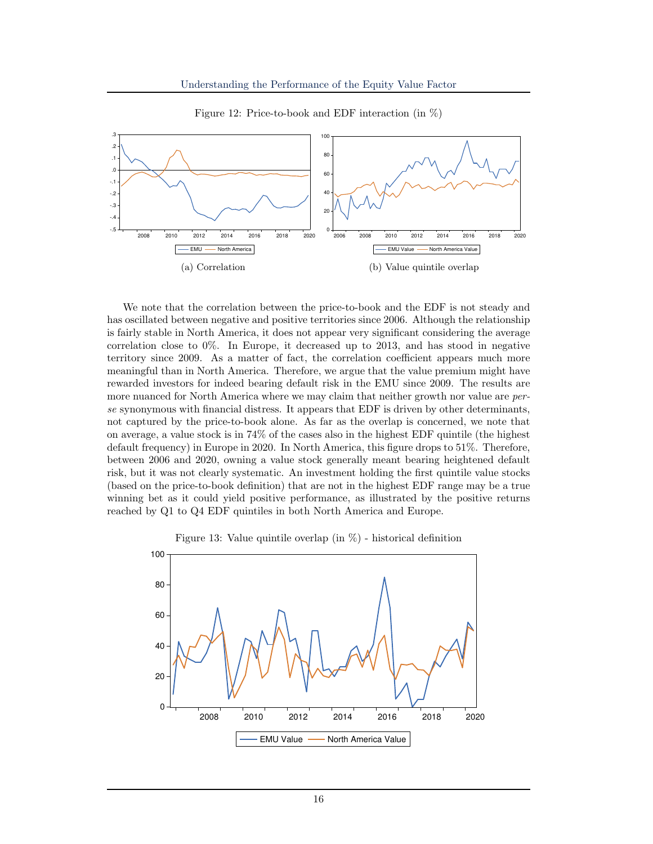<span id="page-16-0"></span>

Figure 12: Price-to-book and EDF interaction (in %)

We note that the correlation between the price-to-book and the EDF is not steady and has oscillated between negative and positive territories since 2006. Although the relationship is fairly stable in North America, it does not appear very significant considering the average correlation close to 0%. In Europe, it decreased up to 2013, and has stood in negative territory since 2009. As a matter of fact, the correlation coefficient appears much more meaningful than in North America. Therefore, we argue that the value premium might have rewarded investors for indeed bearing default risk in the EMU since 2009. The results are more nuanced for North America where we may claim that neither growth nor value are *per*se synonymous with financial distress. It appears that EDF is driven by other determinants, not captured by the price-to-book alone. As far as the overlap is concerned, we note that on average, a value stock is in 74% of the cases also in the highest EDF quintile (the highest default frequency) in Europe in 2020. In North America, this figure drops to 51%. Therefore, between 2006 and 2020, owning a value stock generally meant bearing heightened default risk, but it was not clearly systematic. An investment holding the first quintile value stocks (based on the price-to-book definition) that are not in the highest EDF range may be a true winning bet as it could yield positive performance, as illustrated by the positive returns reached by Q1 to Q4 EDF quintiles in both North America and Europe.



<span id="page-16-1"></span>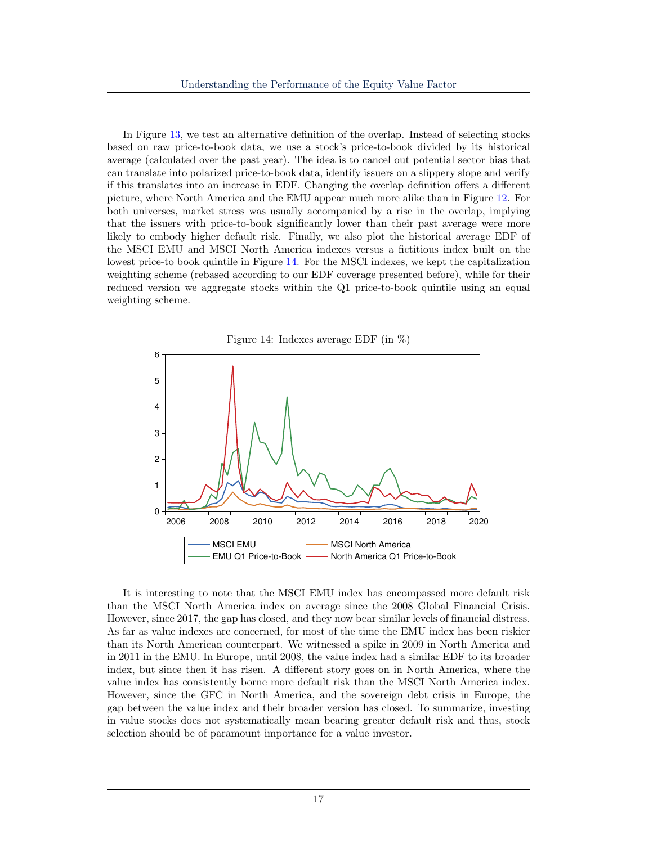In Figure [13,](#page-16-1) we test an alternative definition of the overlap. Instead of selecting stocks based on raw price-to-book data, we use a stock's price-to-book divided by its historical average (calculated over the past year). The idea is to cancel out potential sector bias that can translate into polarized price-to-book data, identify issuers on a slippery slope and verify if this translates into an increase in EDF. Changing the overlap definition offers a different picture, where North America and the EMU appear much more alike than in Figure [12.](#page-16-0) For both universes, market stress was usually accompanied by a rise in the overlap, implying that the issuers with price-to-book significantly lower than their past average were more likely to embody higher default risk. Finally, we also plot the historical average EDF of the MSCI EMU and MSCI North America indexes versus a fictitious index built on the lowest price-to book quintile in Figure [14.](#page-17-0) For the MSCI indexes, we kept the capitalization weighting scheme (rebased according to our EDF coverage presented before), while for their reduced version we aggregate stocks within the Q1 price-to-book quintile using an equal weighting scheme.

<span id="page-17-0"></span>

It is interesting to note that the MSCI EMU index has encompassed more default risk than the MSCI North America index on average since the 2008 Global Financial Crisis. However, since 2017, the gap has closed, and they now bear similar levels of financial distress. As far as value indexes are concerned, for most of the time the EMU index has been riskier than its North American counterpart. We witnessed a spike in 2009 in North America and in 2011 in the EMU. In Europe, until 2008, the value index had a similar EDF to its broader index, but since then it has risen. A different story goes on in North America, where the value index has consistently borne more default risk than the MSCI North America index. However, since the GFC in North America, and the sovereign debt crisis in Europe, the gap between the value index and their broader version has closed. To summarize, investing in value stocks does not systematically mean bearing greater default risk and thus, stock selection should be of paramount importance for a value investor.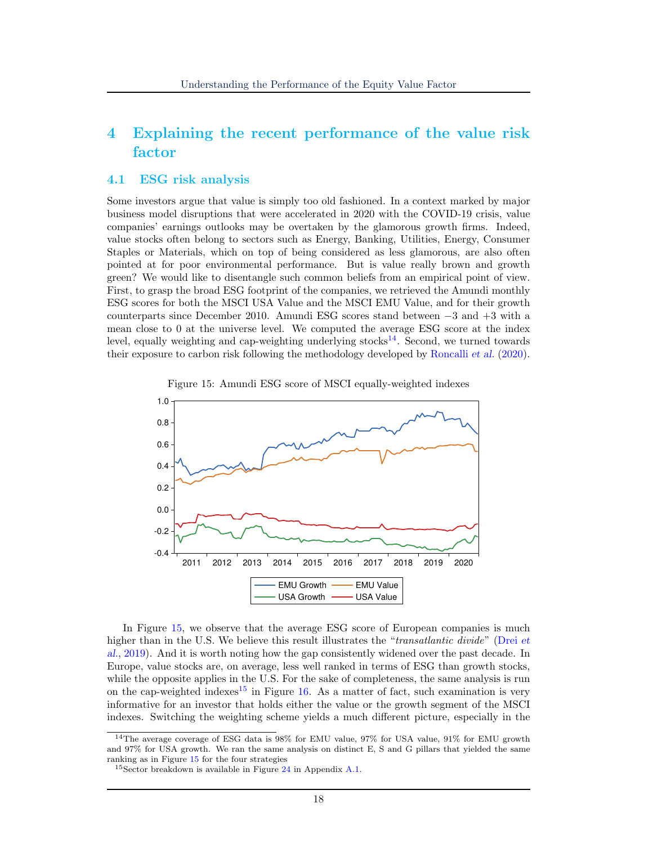## 4 Explaining the recent performance of the value risk factor

#### 4.1 ESG risk analysis

Some investors argue that value is simply too old fashioned. In a context marked by major business model disruptions that were accelerated in 2020 with the COVID-19 crisis, value companies' earnings outlooks may be overtaken by the glamorous growth firms. Indeed, value stocks often belong to sectors such as Energy, Banking, Utilities, Energy, Consumer Staples or Materials, which on top of being considered as less glamorous, are also often pointed at for poor environmental performance. But is value really brown and growth green? We would like to disentangle such common beliefs from an empirical point of view. First, to grasp the broad ESG footprint of the companies, we retrieved the Amundi monthly ESG scores for both the MSCI USA Value and the MSCI EMU Value, and for their growth counterparts since December 2010. Amundi ESG scores stand between −3 and +3 with a mean close to 0 at the universe level. We computed the average ESG score at the index level, equally weighting and cap-weighting underlying stocks<sup>[14](#page-18-0)</sup>. Second, we turned towards their exposure to carbon risk following the methodology developed by [Roncalli](#page-25-7) et al. [\(2020\)](#page-25-7).



<span id="page-18-1"></span>

In Figure [15,](#page-18-1) we observe that the average ESG score of European companies is much higher than in the U.S. We believe this result illustrates the "*transatlantic divide*" [\(Drei](#page-24-7) et [al.](#page-24-7), [2019\)](#page-24-7). And it is worth noting how the gap consistently widened over the past decade. In Europe, value stocks are, on average, less well ranked in terms of ESG than growth stocks, while the opposite applies in the U.S. For the sake of completeness, the same analysis is run on the cap-weighted indexes<sup>[15](#page-18-2)</sup> in Figure [16.](#page-19-0) As a matter of fact, such examination is very informative for an investor that holds either the value or the growth segment of the MSCI indexes. Switching the weighting scheme yields a much different picture, especially in the

<span id="page-18-0"></span><sup>14</sup>The average coverage of ESG data is 98% for EMU value, 97% for USA value, 91% for EMU growth and 97% for USA growth. We ran the same analysis on distinct E, S and G pillars that yielded the same ranking as in Figure [15](#page-18-1) for the four strategies

<span id="page-18-2"></span> $15$ Sector breakdown is available in Figure [24](#page-28-2) in Appendix [A.1.](#page-26-1)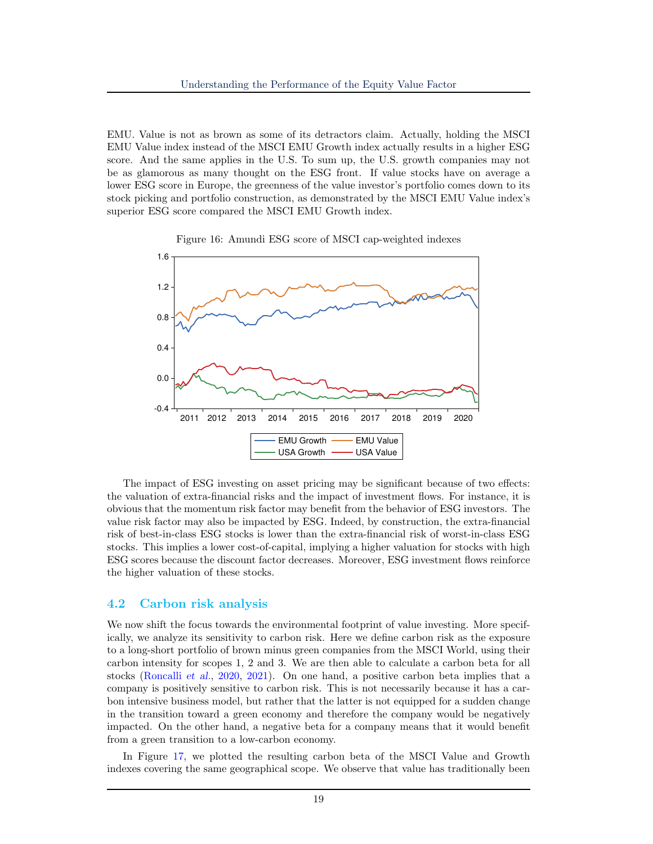EMU. Value is not as brown as some of its detractors claim. Actually, holding the MSCI EMU Value index instead of the MSCI EMU Growth index actually results in a higher ESG score. And the same applies in the U.S. To sum up, the U.S. growth companies may not be as glamorous as many thought on the ESG front. If value stocks have on average a lower ESG score in Europe, the greenness of the value investor's portfolio comes down to its stock picking and portfolio construction, as demonstrated by the MSCI EMU Value index's superior ESG score compared the MSCI EMU Growth index.



<span id="page-19-0"></span>

The impact of ESG investing on asset pricing may be significant because of two effects: the valuation of extra-financial risks and the impact of investment flows. For instance, it is obvious that the momentum risk factor may benefit from the behavior of ESG investors. The value risk factor may also be impacted by ESG. Indeed, by construction, the extra-financial risk of best-in-class ESG stocks is lower than the extra-financial risk of worst-in-class ESG stocks. This implies a lower cost-of-capital, implying a higher valuation for stocks with high ESG scores because the discount factor decreases. Moreover, ESG investment flows reinforce the higher valuation of these stocks.

#### 4.2 Carbon risk analysis

We now shift the focus towards the environmental footprint of value investing. More specifically, we analyze its sensitivity to carbon risk. Here we define carbon risk as the exposure to a long-short portfolio of brown minus green companies from the MSCI World, using their carbon intensity for scopes 1, 2 and 3. We are then able to calculate a carbon beta for all stocks [\(Roncalli](#page-25-7) et al., [2020,](#page-25-7) [2021\)](#page-25-8). On one hand, a positive carbon beta implies that a company is positively sensitive to carbon risk. This is not necessarily because it has a carbon intensive business model, but rather that the latter is not equipped for a sudden change in the transition toward a green economy and therefore the company would be negatively impacted. On the other hand, a negative beta for a company means that it would benefit from a green transition to a low-carbon economy.

In Figure [17,](#page-20-0) we plotted the resulting carbon beta of the MSCI Value and Growth indexes covering the same geographical scope. We observe that value has traditionally been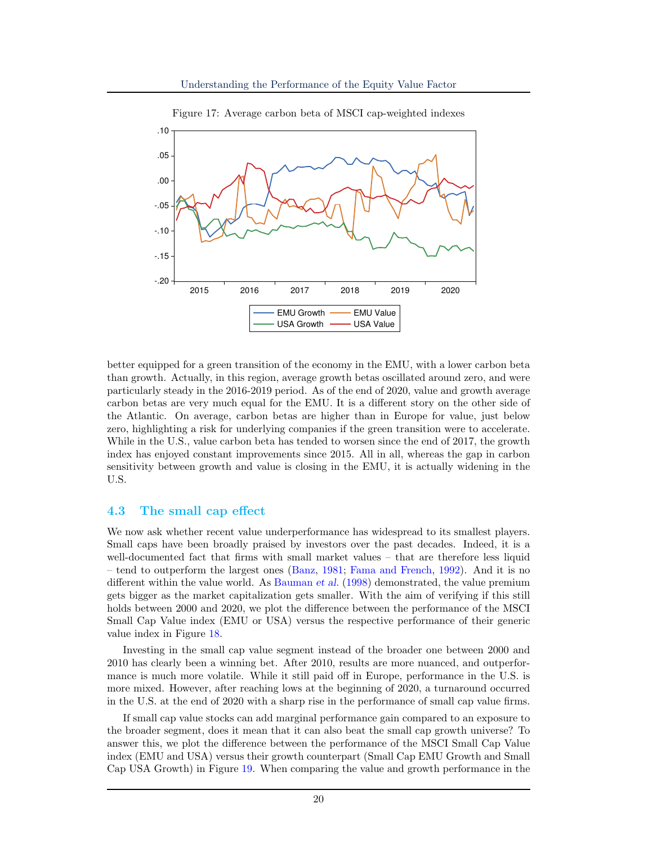<span id="page-20-0"></span>

Figure 17: Average carbon beta of MSCI cap-weighted indexes

better equipped for a green transition of the economy in the EMU, with a lower carbon beta than growth. Actually, in this region, average growth betas oscillated around zero, and were particularly steady in the 2016-2019 period. As of the end of 2020, value and growth average carbon betas are very much equal for the EMU. It is a different story on the other side of the Atlantic. On average, carbon betas are higher than in Europe for value, just below zero, highlighting a risk for underlying companies if the green transition were to accelerate. While in the U.S., value carbon beta has tended to worsen since the end of 2017, the growth index has enjoyed constant improvements since 2015. All in all, whereas the gap in carbon sensitivity between growth and value is closing in the EMU, it is actually widening in the U.S.

#### 4.3 The small cap effect

We now ask whether recent value underperformance has widespread to its smallest players. Small caps have been broadly praised by investors over the past decades. Indeed, it is a well-documented fact that firms with small market values – that are therefore less liquid – tend to outperform the largest ones [\(Banz,](#page-24-12) [1981;](#page-24-12) [Fama and French,](#page-24-2) [1992\)](#page-24-2). And it is no different within the value world. As [Bauman](#page-24-13) et al. [\(1998\)](#page-24-13) demonstrated, the value premium gets bigger as the market capitalization gets smaller. With the aim of verifying if this still holds between 2000 and 2020, we plot the difference between the performance of the MSCI Small Cap Value index (EMU or USA) versus the respective performance of their generic value index in Figure [18.](#page-21-0)

Investing in the small cap value segment instead of the broader one between 2000 and 2010 has clearly been a winning bet. After 2010, results are more nuanced, and outperformance is much more volatile. While it still paid off in Europe, performance in the U.S. is more mixed. However, after reaching lows at the beginning of 2020, a turnaround occurred in the U.S. at the end of 2020 with a sharp rise in the performance of small cap value firms.

If small cap value stocks can add marginal performance gain compared to an exposure to the broader segment, does it mean that it can also beat the small cap growth universe? To answer this, we plot the difference between the performance of the MSCI Small Cap Value index (EMU and USA) versus their growth counterpart (Small Cap EMU Growth and Small Cap USA Growth) in Figure [19.](#page-21-1) When comparing the value and growth performance in the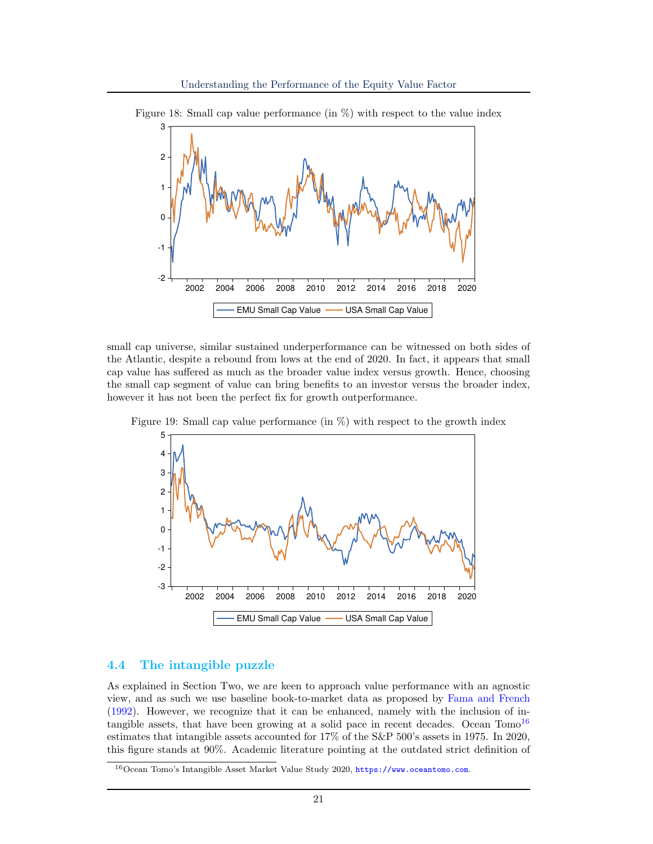

<span id="page-21-0"></span>Figure 18: Small cap value performance (in %) with respect to the value index

small cap universe, similar sustained underperformance can be witnessed on both sides of the Atlantic, despite a rebound from lows at the end of 2020. In fact, it appears that small cap value has suffered as much as the broader value index versus growth. Hence, choosing the small cap segment of value can bring benefits to an investor versus the broader index, however it has not been the perfect fix for growth outperformance.



<span id="page-21-1"></span>Figure 19: Small cap value performance (in %) with respect to the growth index

#### 4.4 The intangible puzzle

As explained in Section Two, we are keen to approach value performance with an agnostic view, and as such we use baseline book-to-market data as proposed by [Fama and French](#page-24-2) [\(1992\)](#page-24-2). However, we recognize that it can be enhanced, namely with the inclusion of intangible assets, that have been growing at a solid pace in recent decades. Ocean  $T^{16}$  $T^{16}$  $T^{16}$ estimates that intangible assets accounted for 17% of the S&P 500's assets in 1975. In 2020, this figure stands at 90%. Academic literature pointing at the outdated strict definition of

<span id="page-21-2"></span><sup>16</sup>Ocean Tomo's Intangible Asset Market Value Study 2020, <https://www.oceantomo.com>.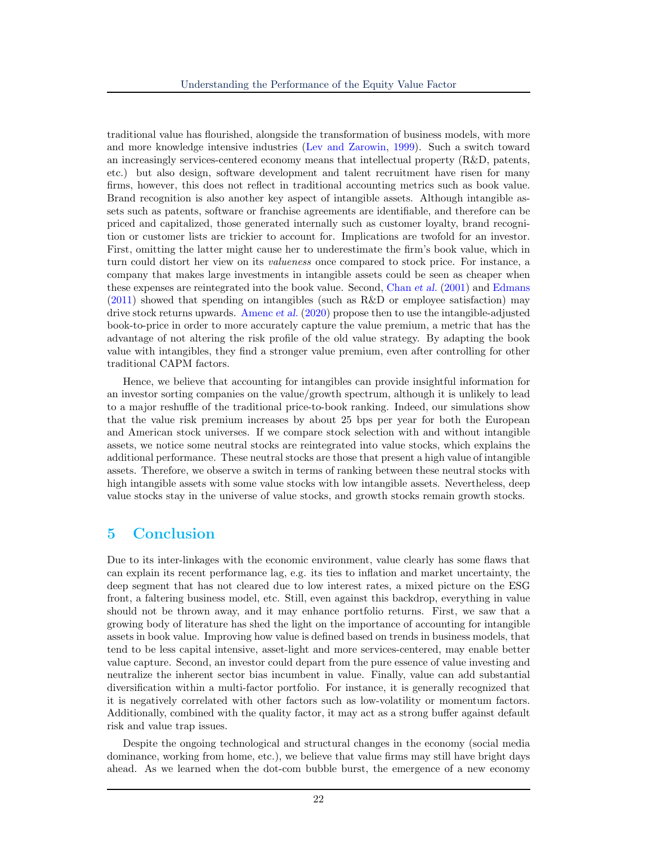traditional value has flourished, alongside the transformation of business models, with more and more knowledge intensive industries [\(Lev and Zarowin,](#page-25-9) [1999\)](#page-25-9). Such a switch toward an increasingly services-centered economy means that intellectual property (R&D, patents, etc.) but also design, software development and talent recruitment have risen for many firms, however, this does not reflect in traditional accounting metrics such as book value. Brand recognition is also another key aspect of intangible assets. Although intangible assets such as patents, software or franchise agreements are identifiable, and therefore can be priced and capitalized, those generated internally such as customer loyalty, brand recognition or customer lists are trickier to account for. Implications are twofold for an investor. First, omitting the latter might cause her to underestimate the firm's book value, which in turn could distort her view on its valueness once compared to stock price. For instance, a company that makes large investments in intangible assets could be seen as cheaper when these expenses are reintegrated into the book value. Second, [Chan](#page-24-14) et al. [\(2001\)](#page-24-14) and [Edmans](#page-24-15) [\(2011\)](#page-24-15) showed that spending on intangibles (such as R&D or employee satisfaction) may drive stock returns upwards. [Amenc](#page-24-16) et al. [\(2020\)](#page-24-16) propose then to use the intangible-adjusted book-to-price in order to more accurately capture the value premium, a metric that has the advantage of not altering the risk profile of the old value strategy. By adapting the book value with intangibles, they find a stronger value premium, even after controlling for other traditional CAPM factors.

Hence, we believe that accounting for intangibles can provide insightful information for an investor sorting companies on the value/growth spectrum, although it is unlikely to lead to a major reshuffle of the traditional price-to-book ranking. Indeed, our simulations show that the value risk premium increases by about 25 bps per year for both the European and American stock universes. If we compare stock selection with and without intangible assets, we notice some neutral stocks are reintegrated into value stocks, which explains the additional performance. These neutral stocks are those that present a high value of intangible assets. Therefore, we observe a switch in terms of ranking between these neutral stocks with high intangible assets with some value stocks with low intangible assets. Nevertheless, deep value stocks stay in the universe of value stocks, and growth stocks remain growth stocks.

### 5 Conclusion

Due to its inter-linkages with the economic environment, value clearly has some flaws that can explain its recent performance lag, e.g. its ties to inflation and market uncertainty, the deep segment that has not cleared due to low interest rates, a mixed picture on the ESG front, a faltering business model, etc. Still, even against this backdrop, everything in value should not be thrown away, and it may enhance portfolio returns. First, we saw that a growing body of literature has shed the light on the importance of accounting for intangible assets in book value. Improving how value is defined based on trends in business models, that tend to be less capital intensive, asset-light and more services-centered, may enable better value capture. Second, an investor could depart from the pure essence of value investing and neutralize the inherent sector bias incumbent in value. Finally, value can add substantial diversification within a multi-factor portfolio. For instance, it is generally recognized that it is negatively correlated with other factors such as low-volatility or momentum factors. Additionally, combined with the quality factor, it may act as a strong buffer against default risk and value trap issues.

Despite the ongoing technological and structural changes in the economy (social media dominance, working from home, etc.), we believe that value firms may still have bright days ahead. As we learned when the dot-com bubble burst, the emergence of a new economy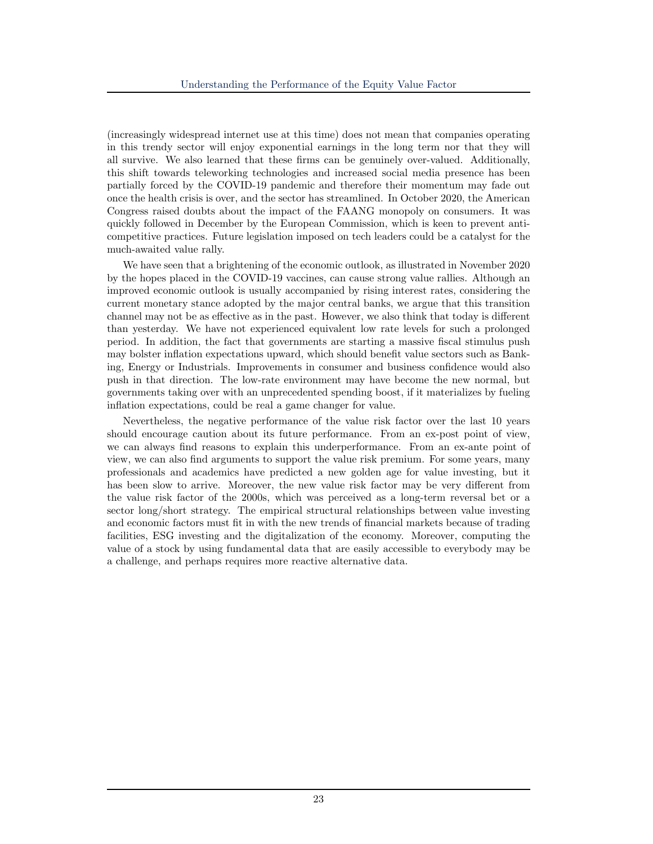(increasingly widespread internet use at this time) does not mean that companies operating in this trendy sector will enjoy exponential earnings in the long term nor that they will all survive. We also learned that these firms can be genuinely over-valued. Additionally, this shift towards teleworking technologies and increased social media presence has been partially forced by the COVID-19 pandemic and therefore their momentum may fade out once the health crisis is over, and the sector has streamlined. In October 2020, the American Congress raised doubts about the impact of the FAANG monopoly on consumers. It was quickly followed in December by the European Commission, which is keen to prevent anticompetitive practices. Future legislation imposed on tech leaders could be a catalyst for the much-awaited value rally.

We have seen that a brightening of the economic outlook, as illustrated in November 2020 by the hopes placed in the COVID-19 vaccines, can cause strong value rallies. Although an improved economic outlook is usually accompanied by rising interest rates, considering the current monetary stance adopted by the major central banks, we argue that this transition channel may not be as effective as in the past. However, we also think that today is different than yesterday. We have not experienced equivalent low rate levels for such a prolonged period. In addition, the fact that governments are starting a massive fiscal stimulus push may bolster inflation expectations upward, which should benefit value sectors such as Banking, Energy or Industrials. Improvements in consumer and business confidence would also push in that direction. The low-rate environment may have become the new normal, but governments taking over with an unprecedented spending boost, if it materializes by fueling inflation expectations, could be real a game changer for value.

Nevertheless, the negative performance of the value risk factor over the last 10 years should encourage caution about its future performance. From an ex-post point of view, we can always find reasons to explain this underperformance. From an ex-ante point of view, we can also find arguments to support the value risk premium. For some years, many professionals and academics have predicted a new golden age for value investing, but it has been slow to arrive. Moreover, the new value risk factor may be very different from the value risk factor of the 2000s, which was perceived as a long-term reversal bet or a sector long/short strategy. The empirical structural relationships between value investing and economic factors must fit in with the new trends of financial markets because of trading facilities, ESG investing and the digitalization of the economy. Moreover, computing the value of a stock by using fundamental data that are easily accessible to everybody may be a challenge, and perhaps requires more reactive alternative data.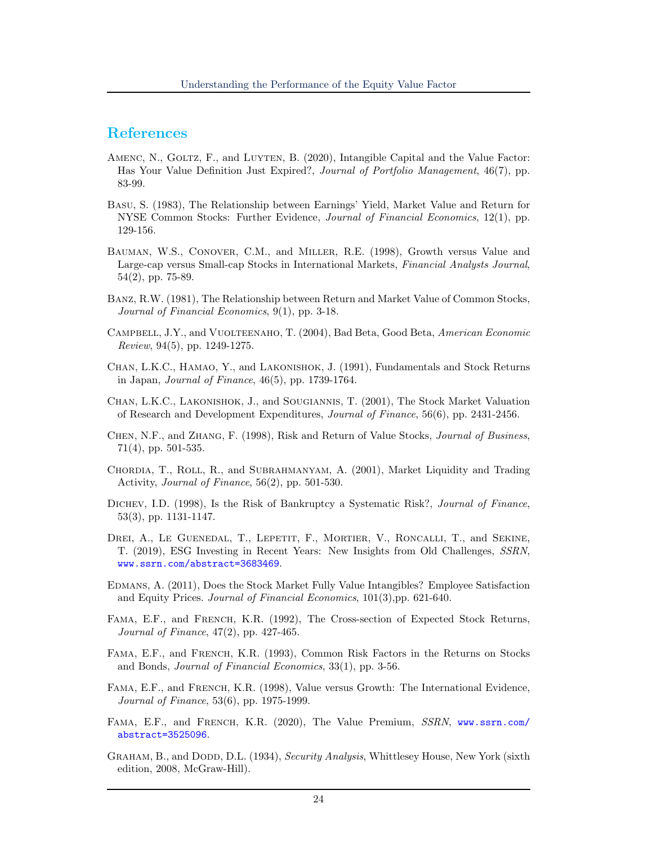## References

- <span id="page-24-16"></span>AMENC, N., GOLTZ, F., and LUYTEN, B. (2020), Intangible Capital and the Value Factor: Has Your Value Definition Just Expired?, Journal of Portfolio Management, 46(7), pp. 83-99.
- <span id="page-24-1"></span>Basu, S. (1983), The Relationship between Earnings' Yield, Market Value and Return for NYSE Common Stocks: Further Evidence, Journal of Financial Economics, 12(1), pp. 129-156.
- <span id="page-24-13"></span>Bauman, W.S., Conover, C.M., and Miller, R.E. (1998), Growth versus Value and Large-cap versus Small-cap Stocks in International Markets, Financial Analysts Journal, 54(2), pp. 75-89.
- <span id="page-24-12"></span>Banz, R.W. (1981), The Relationship between Return and Market Value of Common Stocks, Journal of Financial Economics, 9(1), pp. 3-18.
- <span id="page-24-9"></span>Campbell, J.Y., and Vuolteenaho, T. (2004), Bad Beta, Good Beta, American Economic Review, 94(5), pp. 1249-1275.
- <span id="page-24-4"></span>Chan, L.K.C., Hamao, Y., and Lakonishok, J. (1991), Fundamentals and Stock Returns in Japan, Journal of Finance, 46(5), pp. 1739-1764.
- <span id="page-24-14"></span>Chan, L.K.C., Lakonishok, J., and Sougiannis, T. (2001), The Stock Market Valuation of Research and Development Expenditures, Journal of Finance, 56(6), pp. 2431-2456.
- <span id="page-24-10"></span>Chen, N.F., and Zhang, F. (1998), Risk and Return of Value Stocks, Journal of Business, 71(4), pp. 501-535.
- <span id="page-24-8"></span>Chordia, T., Roll, R., and Subrahmanyam, A. (2001), Market Liquidity and Trading Activity, Journal of Finance, 56(2), pp. 501-530.
- <span id="page-24-11"></span>DICHEV, I.D. (1998), Is the Risk of Bankruptcy a Systematic Risk?, Journal of Finance, 53(3), pp. 1131-1147.
- <span id="page-24-7"></span>DREI, A., LE GUENEDAL, T., LEPETIT, F., MORTIER, V., RONCALLI, T., and SEKINE, T. (2019), ESG Investing in Recent Years: New Insights from Old Challenges, SSRN, <www.ssrn.com/abstract=3683469>.
- <span id="page-24-15"></span>Edmans, A. (2011), Does the Stock Market Fully Value Intangibles? Employee Satisfaction and Equity Prices. Journal of Financial Economics, 101(3),pp. 621-640.
- <span id="page-24-2"></span>FAMA, E.F., and FRENCH, K.R. (1992), The Cross-section of Expected Stock Returns, Journal of Finance, 47(2), pp. 427-465.
- <span id="page-24-3"></span>Fama, E.F., and French, K.R. (1993), Common Risk Factors in the Returns on Stocks and Bonds, Journal of Financial Economics, 33(1), pp. 3-56.
- <span id="page-24-5"></span>Fama, E.F., and French, K.R. (1998), Value versus Growth: The International Evidence, Journal of Finance, 53(6), pp. 1975-1999.
- <span id="page-24-6"></span>FAMA, E.F., and FRENCH, K.R. (2020), The Value Premium, SSRN, [www.ssrn.com/](www.ssrn.com/abstract=3525096) [abstract=3525096](www.ssrn.com/abstract=3525096).
- <span id="page-24-0"></span>GRAHAM, B., and DODD, D.L. (1934), Security Analysis, Whittlesey House, New York (sixth edition, 2008, McGraw-Hill).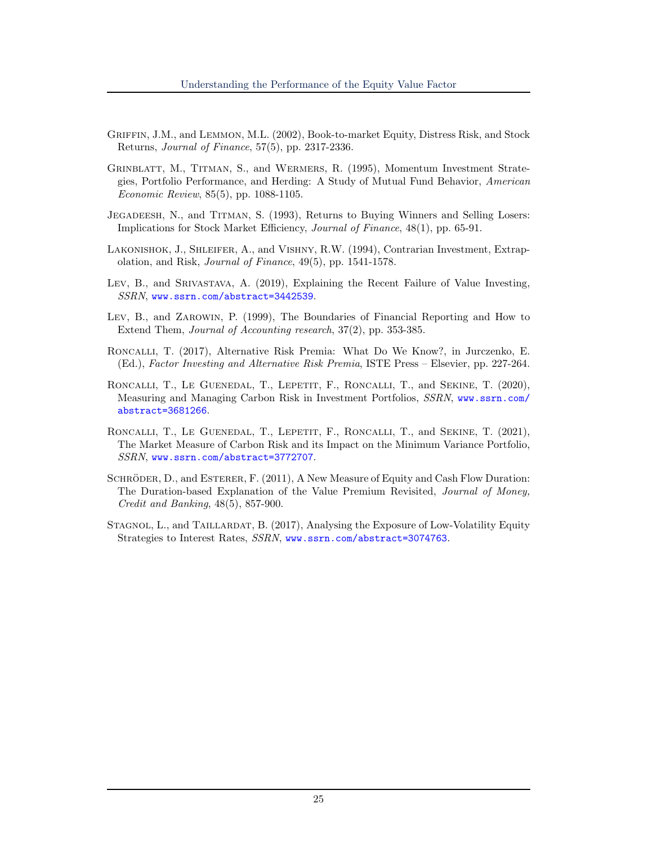- <span id="page-25-6"></span>Griffin, J.M., and Lemmon, M.L. (2002), Book-to-market Equity, Distress Risk, and Stock Returns, Journal of Finance, 57(5), pp. 2317-2336.
- <span id="page-25-2"></span>Grinblatt, M., Titman, S., and Wermers, R. (1995), Momentum Investment Strategies, Portfolio Performance, and Herding: A Study of Mutual Fund Behavior, American Economic Review, 85(5), pp. 1088-1105.
- <span id="page-25-1"></span>Jegadeesh, N., and Titman, S. (1993), Returns to Buying Winners and Selling Losers: Implications for Stock Market Efficiency, Journal of Finance, 48(1), pp. 65-91.
- <span id="page-25-0"></span>Lakonishok, J., Shleifer, A., and Vishny, R.W. (1994), Contrarian Investment, Extrapolation, and Risk, Journal of Finance, 49(5), pp. 1541-1578.
- Lev, B., and Srivastava, A. (2019), Explaining the Recent Failure of Value Investing, SSRN, <www.ssrn.com/abstract=3442539>.
- <span id="page-25-9"></span>Lev, B., and Zarowin, P. (1999), The Boundaries of Financial Reporting and How to Extend Them, Journal of Accounting research, 37(2), pp. 353-385.
- <span id="page-25-3"></span>Roncalli, T. (2017), Alternative Risk Premia: What Do We Know?, in Jurczenko, E. (Ed.), Factor Investing and Alternative Risk Premia, ISTE Press – Elsevier, pp. 227-264.
- <span id="page-25-7"></span>RONCALLI, T., LE GUENEDAL, T., LEPETIT, F., RONCALLI, T., and SEKINE, T. (2020), Measuring and Managing Carbon Risk in Investment Portfolios, SSRN, [www.ssrn.com/](www.ssrn.com/abstract=3681266) [abstract=3681266](www.ssrn.com/abstract=3681266).
- <span id="page-25-8"></span>RONCALLI, T., LE GUENEDAL, T., LEPETIT, F., RONCALLI, T., and SEKINE, T. (2021), The Market Measure of Carbon Risk and its Impact on the Minimum Variance Portfolio, SSRN, <www.ssrn.com/abstract=3772707>.
- <span id="page-25-4"></span>SCHRÖDER, D., and ESTERER, F. (2011), A New Measure of Equity and Cash Flow Duration: The Duration-based Explanation of the Value Premium Revisited, Journal of Money, Credit and Banking, 48(5), 857-900.
- <span id="page-25-5"></span>STAGNOL, L., and TAILLARDAT, B. (2017), Analysing the Exposure of Low-Volatility Equity Strategies to Interest Rates, SSRN, <www.ssrn.com/abstract=3074763>.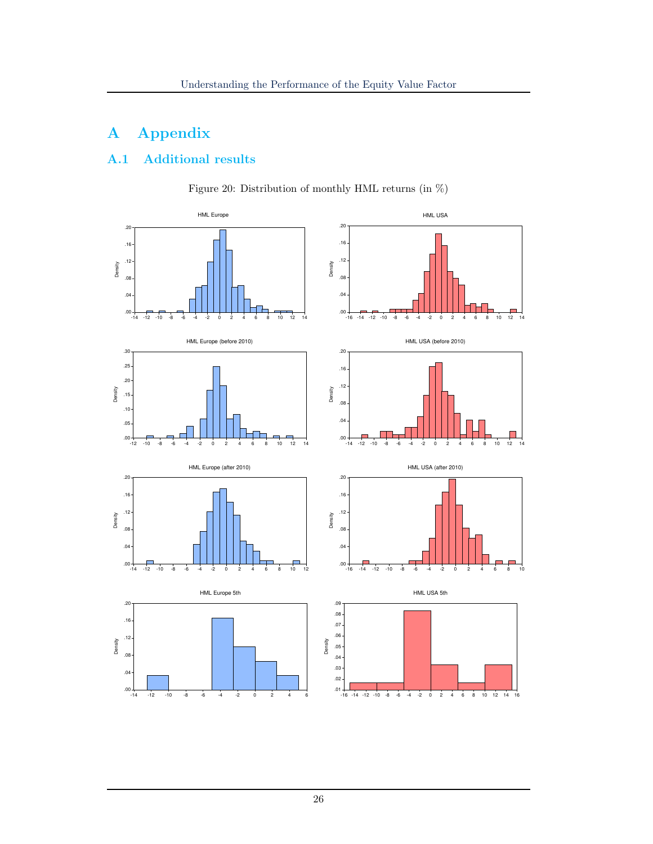# A Appendix

## <span id="page-26-1"></span><span id="page-26-0"></span>A.1 Additional results



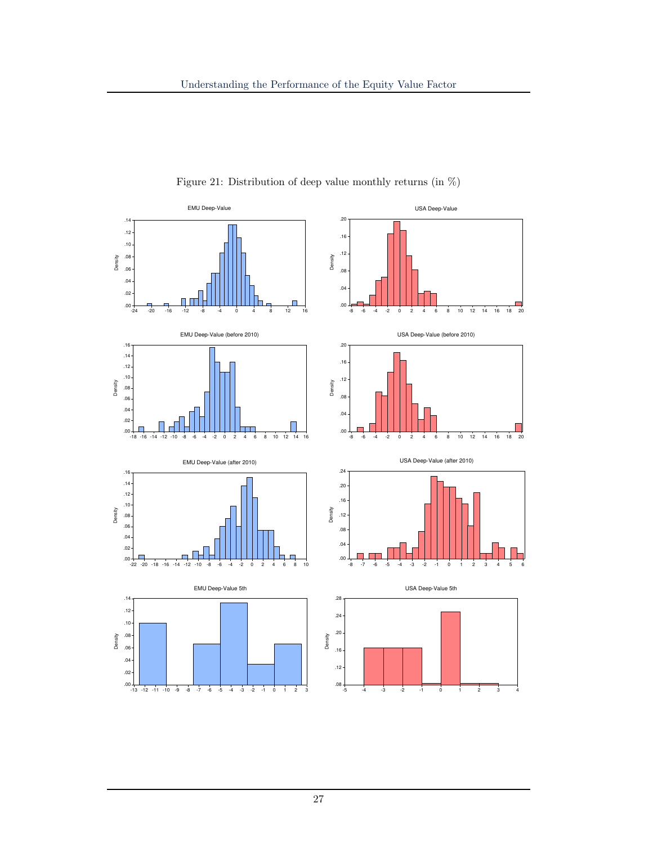<span id="page-27-0"></span>

Figure 21: Distribution of deep value monthly returns (in %)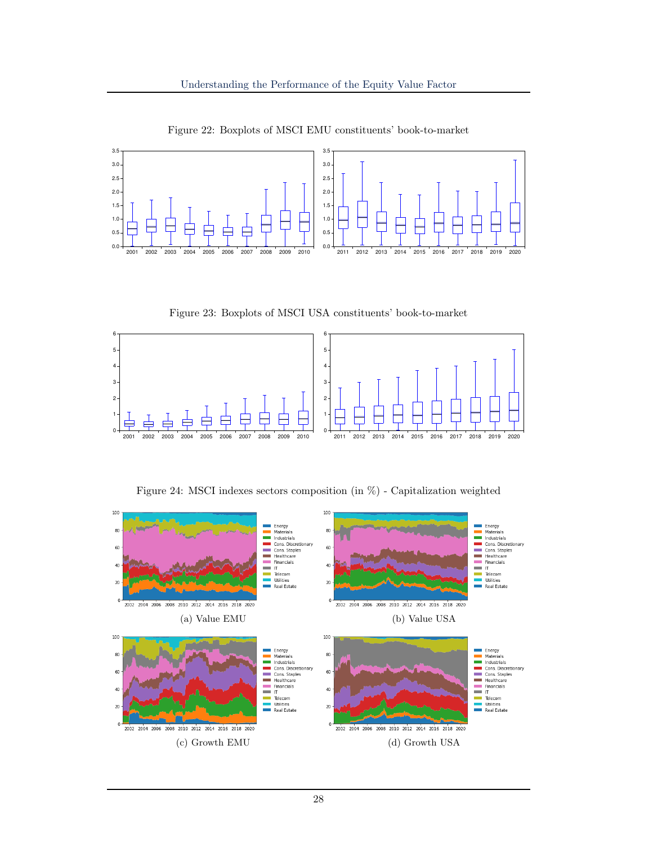<span id="page-28-0"></span>

Figure 22: Boxplots of MSCI EMU constituents' book-to-market

Figure 23: Boxplots of MSCI USA constituents' book-to-market

<span id="page-28-1"></span>

Figure 24: MSCI indexes sectors composition (in %) - Capitalization weighted

<span id="page-28-2"></span>